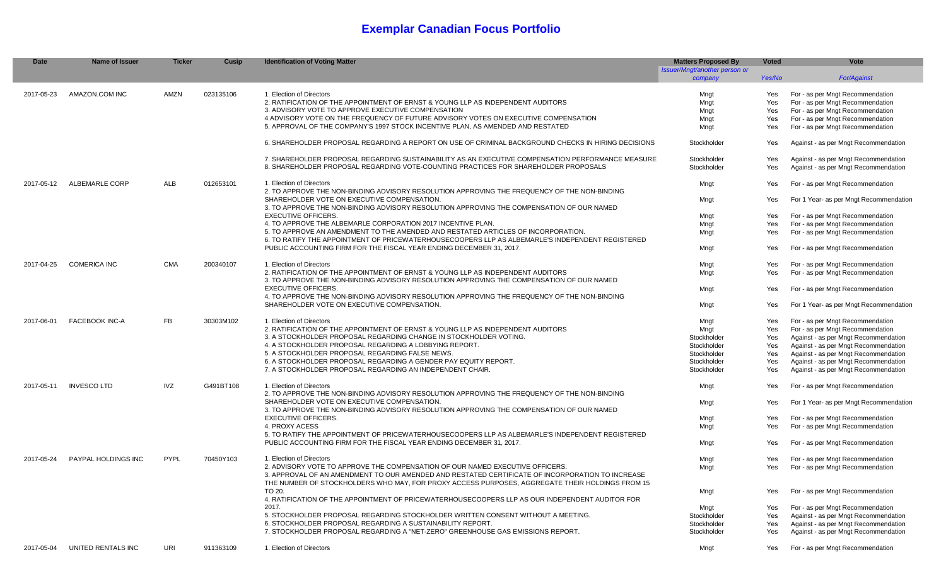## **Exemplar Canadian Focus Portfolio**

| <b>Date</b> | Name of Issuer        | <b>Ticker</b> | Cusip     | <b>Identification of Voting Matter</b>                                                              | <b>Matters Proposed By</b><br>Issuer/Mngt/another person or | <b>Voted</b> | Vote                                   |
|-------------|-----------------------|---------------|-----------|-----------------------------------------------------------------------------------------------------|-------------------------------------------------------------|--------------|----------------------------------------|
|             |                       |               |           |                                                                                                     | company                                                     | Yes/No       | <b>For/Against</b>                     |
| 2017-05-23  | AMAZON.COM INC        | <b>AMZN</b>   | 023135106 | 1. Election of Directors                                                                            | Mnat                                                        | Yes          | For - as per Mngt Recommendation       |
|             |                       |               |           | 2. RATIFICATION OF THE APPOINTMENT OF ERNST & YOUNG LLP AS INDEPENDENT AUDITORS                     | Mngt                                                        | Yes          | For - as per Mngt Recommendation       |
|             |                       |               |           | 3. ADVISORY VOTE TO APPROVE EXECUTIVE COMPENSATION                                                  | Mnat                                                        | Yes          | For - as per Mngt Recommendation       |
|             |                       |               |           | 4.ADVISORY VOTE ON THE FREQUENCY OF FUTURE ADVISORY VOTES ON EXECUTIVE COMPENSATION                 | Mngt                                                        | Yes          | For - as per Mngt Recommendation       |
|             |                       |               |           | 5. APPROVAL OF THE COMPANY'S 1997 STOCK INCENTIVE PLAN, AS AMENDED AND RESTATED                     | Mngt                                                        | Yes          | For - as per Mngt Recommendation       |
|             |                       |               |           |                                                                                                     |                                                             |              |                                        |
|             |                       |               |           | 6. SHAREHOLDER PROPOSAL REGARDING A REPORT ON USE OF CRIMINAL BACKGROUND CHECKS IN HIRING DECISIONS | Stockholder                                                 | Yes          | Against - as per Mngt Recommendation   |
|             |                       |               |           | 7. SHAREHOLDER PROPOSAL REGARDING SUSTAINABILITY AS AN EXECUTIVE COMPENSATION PERFORMANCE MEASURE   | Stockholder                                                 | Yes          | Against - as per Mngt Recommendation   |
|             |                       |               |           | 8. SHAREHOLDER PROPOSAL REGARDING VOTE-COUNTING PRACTICES FOR SHAREHOLDER PROPOSALS                 | Stockholder                                                 | Yes          | Against - as per Mngt Recommendation   |
| 2017-05-12  | <b>ALBEMARLE CORP</b> | ALB           | 012653101 | 1. Election of Directors                                                                            | Mngt                                                        | Yes          | For - as per Mngt Recommendation       |
|             |                       |               |           | 2. TO APPROVE THE NON-BINDING ADVISORY RESOLUTION APPROVING THE FREQUENCY OF THE NON-BINDING        |                                                             |              |                                        |
|             |                       |               |           | SHAREHOLDER VOTE ON EXECUTIVE COMPENSATION                                                          | Mngt                                                        | Yes          | For 1 Year- as per Mngt Recommendation |
|             |                       |               |           | 3. TO APPROVE THE NON-BINDING ADVISORY RESOLUTION APPROVING THE COMPENSATION OF OUR NAMED           |                                                             |              |                                        |
|             |                       |               |           | <b>EXECUTIVE OFFICERS.</b>                                                                          | Mngt                                                        | Yes          | For - as per Mngt Recommendation       |
|             |                       |               |           | 4. TO APPROVE THE ALBEMARLE CORPORATION 2017 INCENTIVE PLAN.                                        | Mngt                                                        | Yes          | For - as per Mngt Recommendation       |
|             |                       |               |           | 5. TO APPROVE AN AMENDMENT TO THE AMENDED AND RESTATED ARTICLES OF INCORPORATION                    | Mngt                                                        | Yes          | For - as per Mngt Recommendation       |
|             |                       |               |           | 6. TO RATIFY THE APPOINTMENT OF PRICEWATERHOUSECOOPERS LLP AS ALBEMARLE'S INDEPENDENT REGISTERED    |                                                             |              |                                        |
|             |                       |               |           | PUBLIC ACCOUNTING FIRM FOR THE FISCAL YEAR ENDING DECEMBER 31, 2017.                                | Mngt                                                        | Yes          | For - as per Mngt Recommendation       |
| 2017-04-25  | <b>COMERICA INC</b>   | <b>CMA</b>    | 200340107 | 1. Election of Directors                                                                            | Mngt                                                        | Yes          | For - as per Mngt Recommendation       |
|             |                       |               |           | 2. RATIFICATION OF THE APPOINTMENT OF ERNST & YOUNG LLP AS INDEPENDENT AUDITORS                     | Mngt                                                        | Yes          | For - as per Mngt Recommendation       |
|             |                       |               |           | 3. TO APPROVE THE NON-BINDING ADVISORY RESOLUTION APPROVING THE COMPENSATION OF OUR NAMED           |                                                             |              |                                        |
|             |                       |               |           | <b>EXECUTIVE OFFICERS</b>                                                                           | Mngt                                                        | Yes          | For - as per Mngt Recommendation       |
|             |                       |               |           | 4. TO APPROVE THE NON-BINDING ADVISORY RESOLUTION APPROVING THE FREQUENCY OF THE NON-BINDING        |                                                             |              |                                        |
|             |                       |               |           | SHAREHOLDER VOTE ON EXECUTIVE COMPENSATION.                                                         | Mngt                                                        | Yes          | For 1 Year- as per Mngt Recommendation |
| 2017-06-01  | <b>FACEBOOK INC-A</b> | <b>FB</b>     | 30303M102 | 1. Election of Directors                                                                            | Mngt                                                        | Yes          | For - as per Mngt Recommendation       |
|             |                       |               |           | 2. RATIFICATION OF THE APPOINTMENT OF ERNST & YOUNG LLP AS INDEPENDENT AUDITORS                     | Mngt                                                        | Yes          | For - as per Mngt Recommendation       |
|             |                       |               |           | 3. A STOCKHOLDER PROPOSAL REGARDING CHANGE IN STOCKHOLDER VOTING.                                   | Stockholder                                                 | Yes          | Against - as per Mngt Recommendation   |
|             |                       |               |           | 4. A STOCKHOLDER PROPOSAL REGARDING A LOBBYING REPORT.                                              | Stockholder                                                 | Yes          | Against - as per Mngt Recommendation   |
|             |                       |               |           | 5. A STOCKHOLDER PROPOSAL REGARDING FALSE NEWS.                                                     | Stockholder                                                 | Yes          | Against - as per Mngt Recommendation   |
|             |                       |               |           | 6. A STOCKHOLDER PROPOSAL REGARDING A GENDER PAY EQUITY REPORT.                                     | Stockholder                                                 | Yes          | Against - as per Mngt Recommendation   |
|             |                       |               |           | 7. A STOCKHOLDER PROPOSAL REGARDING AN INDEPENDENT CHAIR.                                           | Stockholder                                                 | Yes          | Against - as per Mngt Recommendation   |
| 2017-05-11  | <b>INVESCO LTD</b>    | <b>IVZ</b>    | G491BT108 | 1. Election of Directors                                                                            | Mngt                                                        | Yes          | For - as per Mngt Recommendation       |
|             |                       |               |           | 2. TO APPROVE THE NON-BINDING ADVISORY RESOLUTION APPROVING THE FREQUENCY OF THE NON-BINDING        |                                                             |              |                                        |
|             |                       |               |           | SHAREHOLDER VOTE ON EXECUTIVE COMPENSATION                                                          | Mngt                                                        | Yes          | For 1 Year- as per Mngt Recommendation |
|             |                       |               |           | 3. TO APPROVE THE NON-BINDING ADVISORY RESOLUTION APPROVING THE COMPENSATION OF OUR NAMED           |                                                             |              |                                        |
|             |                       |               |           | <b>EXECUTIVE OFFICERS.</b>                                                                          | Mngt                                                        | Yes          | For - as per Mngt Recommendation       |
|             |                       |               |           | 4. PROXY ACESS                                                                                      | Mngt                                                        | Yes          | For - as per Mngt Recommendation       |
|             |                       |               |           | 5. TO RATIFY THE APPOINTMENT OF PRICEWATERHOUSECOOPERS LLP AS ALBEMARLE'S INDEPENDENT REGISTERED    |                                                             |              |                                        |
|             |                       |               |           | PUBLIC ACCOUNTING FIRM FOR THE FISCAL YEAR ENDING DECEMBER 31, 2017.                                | Mngt                                                        | Yes          | For - as per Mngt Recommendation       |
| 2017-05-24  | PAYPAL HOLDINGS INC   | PYPL          | 70450Y103 | 1. Election of Directors                                                                            | Mngt                                                        | Yes          | For - as per Mngt Recommendation       |
|             |                       |               |           | 2. ADVISORY VOTE TO APPROVE THE COMPENSATION OF OUR NAMED EXECUTIVE OFFICERS.                       | Mngt                                                        | Yes          | For - as per Mngt Recommendation       |
|             |                       |               |           | 3. APPROVAL OF AN AMENDMENT TO OUR AMENDED AND RESTATED CERTIFICATE OF INCORPORATION TO INCREASE    |                                                             |              |                                        |
|             |                       |               |           | THE NUMBER OF STOCKHOLDERS WHO MAY, FOR PROXY ACCESS PURPOSES, AGGREGATE THEIR HOLDINGS FROM 15     |                                                             |              |                                        |
|             |                       |               |           | TO 20.                                                                                              | Mngt                                                        | Yes          | For - as per Mngt Recommendation       |
|             |                       |               |           | 4. RATIFICATION OF THE APPOINTMENT OF PRICEWATERHOUSECOOPERS LLP AS OUR INDEPENDENT AUDITOR FOR     |                                                             |              |                                        |
|             |                       |               |           | 2017.                                                                                               | Mngt                                                        | Yes          | For - as per Mngt Recommendation       |
|             |                       |               |           | 5. STOCKHOLDER PROPOSAL REGARDING STOCKHOLDER WRITTEN CONSENT WITHOUT A MEETING.                    | Stockholder                                                 | Yes          | Against - as per Mngt Recommendation   |
|             |                       |               |           | 6. STOCKHOLDER PROPOSAL REGARDING A SUSTAINABILITY REPORT.                                          | Stockholder                                                 | Yes          | Against - as per Mngt Recommendation   |
|             |                       |               |           | 7. STOCKHOLDER PROPOSAL REGARDING A "NET-ZERO" GREENHOUSE GAS EMISSIONS REPORT.                     | Stockholder                                                 | Yes          | Against - as per Mngt Recommendation   |
| 2017-05-04  | UNITED RENTALS INC    |               |           |                                                                                                     |                                                             |              |                                        |
|             |                       | URI           | 911363109 | 1. Election of Directors                                                                            | Mngt                                                        | Yes          | For - as per Mngt Recommendation       |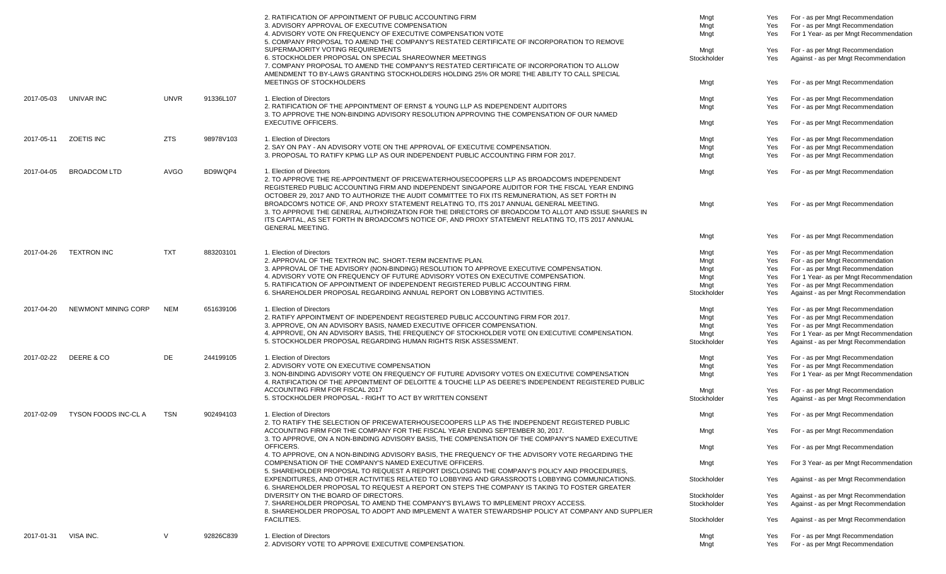|            |                            |             |           | 2. RATIFICATION OF APPOINTMENT OF PUBLIC ACCOUNTING FIRM<br>3. ADVISORY APPROVAL OF EXECUTIVE COMPENSATION<br>4. ADVISORY VOTE ON FREQUENCY OF EXECUTIVE COMPENSATION VOTE<br>5. COMPANY PROPOSAL TO AMEND THE COMPANY'S RESTATED CERTIFICATE OF INCORPORATION TO REMOVE                                                        | Mngt<br>Mngt<br>Mngt | Yes<br>Yes<br>Yes | For - as per Mngt Recommendation<br>For - as per Mngt Recommendation<br>For 1 Year- as per Mngt Recommendation |
|------------|----------------------------|-------------|-----------|---------------------------------------------------------------------------------------------------------------------------------------------------------------------------------------------------------------------------------------------------------------------------------------------------------------------------------|----------------------|-------------------|----------------------------------------------------------------------------------------------------------------|
|            |                            |             |           | SUPERMAJORITY VOTING REQUIREMENTS<br>6. STOCKHOLDER PROPOSAL ON SPECIAL SHAREOWNER MEETINGS<br>7. COMPANY PROPOSAL TO AMEND THE COMPANY'S RESTATED CERTIFICATE OF INCORPORATION TO ALLOW<br>AMENDMENT TO BY-LAWS GRANTING STOCKHOLDERS HOLDING 25% OR MORE THE ABILITY TO CALL SPECIAL                                          | Mngt<br>Stockholder  | Yes<br>Yes        | For - as per Mngt Recommendation<br>Against - as per Mngt Recommendation                                       |
|            |                            |             |           | MEETINGS OF STOCKHOLDERS                                                                                                                                                                                                                                                                                                        | Mngt                 | Yes               | For - as per Mngt Recommendation                                                                               |
| 2017-05-03 | UNIVAR INC                 | <b>UNVR</b> | 91336L107 | 1. Election of Directors<br>2. RATIFICATION OF THE APPOINTMENT OF ERNST & YOUNG LLP AS INDEPENDENT AUDITORS<br>3. TO APPROVE THE NON-BINDING ADVISORY RESOLUTION APPROVING THE COMPENSATION OF OUR NAMED<br><b>EXECUTIVE OFFICERS.</b>                                                                                          | Mngt<br>Mngt<br>Mngt | Yes<br>Yes<br>Yes | For - as per Mngt Recommendation<br>For - as per Mngt Recommendation<br>For - as per Mngt Recommendation       |
|            |                            |             |           |                                                                                                                                                                                                                                                                                                                                 |                      |                   |                                                                                                                |
| 2017-05-11 | <b>ZOETIS INC</b>          | <b>ZTS</b>  | 98978V103 | 1. Election of Directors<br>2. SAY ON PAY - AN ADVISORY VOTE ON THE APPROVAL OF EXECUTIVE COMPENSATION.                                                                                                                                                                                                                         | Mngt<br>Mngt         | Yes<br>Yes        | For - as per Mngt Recommendation<br>For - as per Mngt Recommendation                                           |
|            |                            |             |           | 3. PROPOSAL TO RATIFY KPMG LLP AS OUR INDEPENDENT PUBLIC ACCOUNTING FIRM FOR 2017.                                                                                                                                                                                                                                              | Mngt                 | Yes               | For - as per Mngt Recommendation                                                                               |
| 2017-04-05 | <b>BROADCOM LTD</b>        | AVGO        | BD9WQP4   | 1. Election of Directors<br>2. TO APPROVE THE RE-APPOINTMENT OF PRICEWATERHOUSECOOPERS LLP AS BROADCOM'S INDEPENDENT<br>REGISTERED PUBLIC ACCOUNTING FIRM AND INDEPENDENT SINGAPORE AUDITOR FOR THE FISCAL YEAR ENDING<br>OCTOBER 29, 2017 AND TO AUTHORIZE THE AUDIT COMMITTEE TO FIX ITS REMUNERATION, AS SET FORTH IN        | Mngt                 | Yes               | For - as per Mngt Recommendation                                                                               |
|            |                            |             |           | BROADCOM'S NOTICE OF, AND PROXY STATEMENT RELATING TO, ITS 2017 ANNUAL GENERAL MEETING.<br>3. TO APPROVE THE GENERAL AUTHORIZATION FOR THE DIRECTORS OF BROADCOM TO ALLOT AND ISSUE SHARES IN<br>ITS CAPITAL, AS SET FORTH IN BROADCOM'S NOTICE OF, AND PROXY STATEMENT RELATING TO, ITS 2017 ANNUAL<br><b>GENERAL MEETING.</b> | Mngt                 | Yes               | For - as per Mngt Recommendation                                                                               |
|            |                            |             |           |                                                                                                                                                                                                                                                                                                                                 | Mngt                 | Yes               | For - as per Mngt Recommendation                                                                               |
| 2017-04-26 | <b>TEXTRON INC</b>         | <b>TXT</b>  | 883203101 | 1. Election of Directors                                                                                                                                                                                                                                                                                                        | Mngt                 | Yes               | For - as per Mngt Recommendation                                                                               |
|            |                            |             |           | 2. APPROVAL OF THE TEXTRON INC. SHORT-TERM INCENTIVE PLAN.                                                                                                                                                                                                                                                                      | Mngt                 | Yes               | For - as per Mngt Recommendation                                                                               |
|            |                            |             |           | 3. APPROVAL OF THE ADVISORY (NON-BINDING) RESOLUTION TO APPROVE EXECUTIVE COMPENSATION.<br>4. ADVISORY VOTE ON FREQUENCY OF FUTURE ADVISORY VOTES ON EXECUTIVE COMPENSATION.                                                                                                                                                    | Mngt<br>Mngt         | Yes<br>Yes        | For - as per Mngt Recommendation<br>For 1 Year- as per Mngt Recommendation                                     |
|            |                            |             |           | 5. RATIFICATION OF APPOINTMENT OF INDEPENDENT REGISTERED PUBLIC ACCOUNTING FIRM.                                                                                                                                                                                                                                                | Mngt                 | Yes               | For - as per Mngt Recommendation                                                                               |
|            |                            |             |           | 6. SHAREHOLDER PROPOSAL REGARDING ANNUAL REPORT ON LOBBYING ACTIVITIES.                                                                                                                                                                                                                                                         | Stockholder          | Yes               | Against - as per Mngt Recommendation                                                                           |
| 2017-04-20 | NEWMONT MINING CORP        | <b>NEM</b>  | 651639106 | 1. Election of Directors                                                                                                                                                                                                                                                                                                        | Mngt                 | Yes               | For - as per Mngt Recommendation                                                                               |
|            |                            |             |           | 2. RATIFY APPOINTMENT OF INDEPENDENT REGISTERED PUBLIC ACCOUNTING FIRM FOR 2017.                                                                                                                                                                                                                                                | Mngt                 | Yes               | For - as per Mngt Recommendation                                                                               |
|            |                            |             |           | 3. APPROVE, ON AN ADVISORY BASIS, NAMED EXECUTIVE OFFICER COMPENSATION.                                                                                                                                                                                                                                                         | Mngt                 | Yes               | For - as per Mngt Recommendation                                                                               |
|            |                            |             |           | 4. APPROVE, ON AN ADVISORY BASIS, THE FREQUENCY OF STOCKHOLDER VOTE ON EXECUTIVE COMPENSATION.<br>5. STOCKHOLDER PROPOSAL REGARDING HUMAN RIGHTS RISK ASSESSMENT                                                                                                                                                                | Mngt<br>Stockholder  | Yes<br>Yes        | For 1 Year- as per Mngt Recommendation<br>Against - as per Mngt Recommendation                                 |
| 2017-02-22 | DEERE & CO                 | DE          | 244199105 | 1. Election of Directors                                                                                                                                                                                                                                                                                                        | Mngt                 | Yes               | For - as per Mngt Recommendation                                                                               |
|            |                            |             |           | 2. ADVISORY VOTE ON EXECUTIVE COMPENSATION                                                                                                                                                                                                                                                                                      | Mngt                 | Yes               | For - as per Mngt Recommendation                                                                               |
|            |                            |             |           | 3. NON-BINDING ADVISORY VOTE ON FREQUENCY OF FUTURE ADVISORY VOTES ON EXECUTIVE COMPENSATION<br>4. RATIFICATION OF THE APPOINTMENT OF DELOITTE & TOUCHE LLP AS DEERE'S INDEPENDENT REGISTERED PUBLIC                                                                                                                            | Mngt                 | Yes               | For 1 Year- as per Mngt Recommendation                                                                         |
|            |                            |             |           | ACCOUNTING FIRM FOR FISCAL 2017                                                                                                                                                                                                                                                                                                 | Mngt                 | Yes               | For - as per Mngt Recommendation                                                                               |
|            |                            |             |           | 5. STOCKHOLDER PROPOSAL - RIGHT TO ACT BY WRITTEN CONSENT                                                                                                                                                                                                                                                                       | Stockholder          | Yes               | Against - as per Mngt Recommendation                                                                           |
| 2017-02-09 | <b>TYSON FOODS INC-CLA</b> | <b>TSN</b>  | 902494103 | 1. Election of Directors<br>2. TO RATIFY THE SELECTION OF PRICEWATERHOUSECOOPERS LLP AS THE INDEPENDENT REGISTERED PUBLIC                                                                                                                                                                                                       | Mnat                 | Yes               | For - as per Mngt Recommendation                                                                               |
|            |                            |             |           | ACCOUNTING FIRM FOR THE COMPANY FOR THE FISCAL YEAR ENDING SEPTEMBER 30, 2017.<br>3. TO APPROVE, ON A NON-BINDING ADVISORY BASIS, THE COMPENSATION OF THE COMPANY'S NAMED EXECUTIVE                                                                                                                                             | Mngt                 | Yes               | For - as per Mngt Recommendation                                                                               |
|            |                            |             |           | OFFICERS.<br>4. TO APPROVE, ON A NON-BINDING ADVISORY BASIS, THE FREQUENCY OF THE ADVISORY VOTE REGARDING THE                                                                                                                                                                                                                   | Mngt                 | Yes               | For - as per Mngt Recommendation                                                                               |
|            |                            |             |           | COMPENSATION OF THE COMPANY'S NAMED EXECUTIVE OFFICERS.<br>5. SHAREHOLDER PROPOSAL TO REQUEST A REPORT DISCLOSING THE COMPANY'S POLICY AND PROCEDURES.                                                                                                                                                                          | Mngt                 | Yes               | For 3 Year- as per Mngt Recommendation                                                                         |
|            |                            |             |           | EXPENDITURES. AND OTHER ACTIVITIES RELATED TO LOBBYING AND GRASSROOTS LOBBYING COMMUNICATIONS.                                                                                                                                                                                                                                  | Stockholder          | Yes               | Against - as per Mngt Recommendation                                                                           |
|            |                            |             |           | 6. SHAREHOLDER PROPOSAL TO REQUEST A REPORT ON STEPS THE COMPANY IS TAKING TO FOSTER GREATER<br>DIVERSITY ON THE BOARD OF DIRECTORS.                                                                                                                                                                                            | Stockholder          | Yes               | Against - as per Mngt Recommendation                                                                           |
|            |                            |             |           | 7. SHAREHOLDER PROPOSAL TO AMEND THE COMPANY'S BYLAWS TO IMPLEMENT PROXY ACCESS.                                                                                                                                                                                                                                                | Stockholder          | Yes               | Against - as per Mngt Recommendation                                                                           |
|            |                            |             |           | 8. SHAREHOLDER PROPOSAL TO ADOPT AND IMPLEMENT A WATER STEWARDSHIP POLICY AT COMPANY AND SUPPLIER<br><b>FACILITIES.</b>                                                                                                                                                                                                         | Stockholder          | Yes               | Against - as per Mngt Recommendation                                                                           |
| 2017-01-31 | VISA INC.                  | V           | 92826C839 | 1. Election of Directors                                                                                                                                                                                                                                                                                                        | Mngt                 | Yes               | For - as per Mngt Recommendation                                                                               |
|            |                            |             |           | 2. ADVISORY VOTE TO APPROVE EXECUTIVE COMPENSATION.                                                                                                                                                                                                                                                                             | Mngt                 | Yes               | For - as per Mngt Recommendation                                                                               |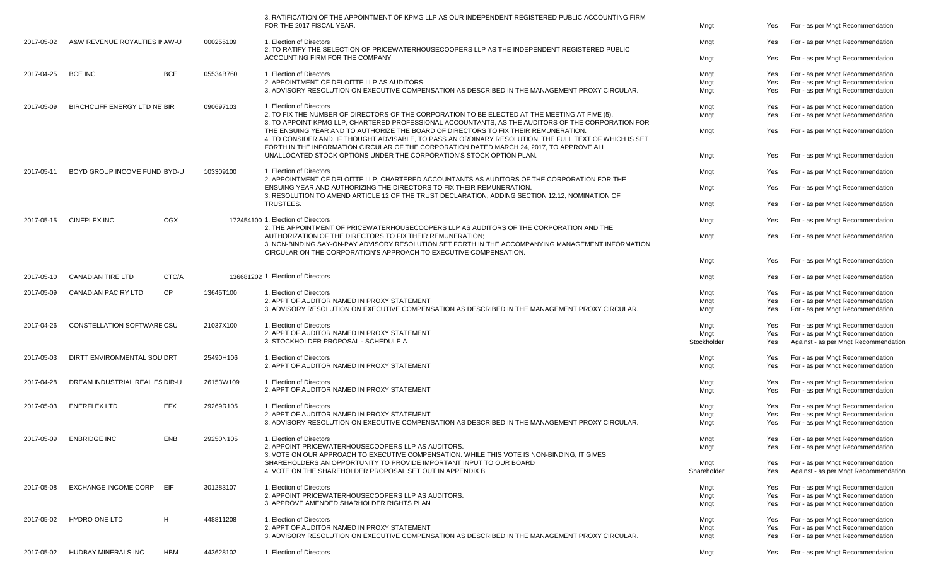|            |                                     |            |           | 3. RATIFICATION OF THE APPOINTMENT OF KPMG LLP AS OUR INDEPENDENT REGISTERED PUBLIC ACCOUNTING FIRM<br>FOR THE 2017 FISCAL YEAR.                                                                                                                                                            | Mngt                | Yes        | For - as per Mngt Recommendation                                         |
|------------|-------------------------------------|------------|-----------|---------------------------------------------------------------------------------------------------------------------------------------------------------------------------------------------------------------------------------------------------------------------------------------------|---------------------|------------|--------------------------------------------------------------------------|
| 2017-05-02 | A&W REVENUE ROYALTIES IN AW-U       |            | 000255109 | 1. Election of Directors                                                                                                                                                                                                                                                                    | Mngt                | Yes        | For - as per Mngt Recommendation                                         |
|            |                                     |            |           | 2. TO RATIFY THE SELECTION OF PRICEWATERHOUSECOOPERS LLP AS THE INDEPENDENT REGISTERED PUBLIC<br>ACCOUNTING FIRM FOR THE COMPANY                                                                                                                                                            | Mngt                | Yes        | For - as per Mngt Recommendation                                         |
| 2017-04-25 | <b>BCE INC</b>                      | <b>BCE</b> | 05534B760 | 1. Election of Directors                                                                                                                                                                                                                                                                    | Mngt                | Yes        | For - as per Mngt Recommendation                                         |
|            |                                     |            |           | 2. APPOINTMENT OF DELOITTE LLP AS AUDITORS.                                                                                                                                                                                                                                                 | Mngt                | Yes        | For - as per Mngt Recommendation                                         |
|            |                                     |            |           | 3. ADVISORY RESOLUTION ON EXECUTIVE COMPENSATION AS DESCRIBED IN THE MANAGEMENT PROXY CIRCULAR.                                                                                                                                                                                             | Mngt                | Yes        | For - as per Mngt Recommendation                                         |
| 2017-05-09 | <b>BIRCHCLIFF ENERGY LTD NE BIR</b> |            | 090697103 | 1. Election of Directors                                                                                                                                                                                                                                                                    | Mngt                | Yes        | For - as per Mngt Recommendation                                         |
|            |                                     |            |           | 2. TO FIX THE NUMBER OF DIRECTORS OF THE CORPORATION TO BE ELECTED AT THE MEETING AT FIVE (5).<br>3. TO APPOINT KPMG LLP, CHARTERED PROFESSIONAL ACCOUNTANTS, AS THE AUDITORS OF THE CORPORATION FOR                                                                                        | Mngt                | Yes        | For - as per Mngt Recommendation                                         |
|            |                                     |            |           | THE ENSUING YEAR AND TO AUTHORIZE THE BOARD OF DIRECTORS TO FIX THEIR REMUNERATION.<br>4. TO CONSIDER AND, IF THOUGHT ADVISABLE, TO PASS AN ORDINARY RESOLUTION, THE FULL TEXT OF WHICH IS SET<br>FORTH IN THE INFORMATION CIRCULAR OF THE CORPORATION DATED MARCH 24, 2017, TO APPROVE ALL | Mngt                | Yes        | For - as per Mngt Recommendation                                         |
|            |                                     |            |           | UNALLOCATED STOCK OPTIONS UNDER THE CORPORATION'S STOCK OPTION PLAN.                                                                                                                                                                                                                        | Mngt                | Yes        | For - as per Mngt Recommendation                                         |
| 2017-05-11 | BOYD GROUP INCOME FUND BYD-U        |            | 103309100 | 1. Election of Directors                                                                                                                                                                                                                                                                    | Mngt                | Yes        | For - as per Mngt Recommendation                                         |
|            |                                     |            |           | 2. APPOINTMENT OF DELOITTE LLP, CHARTERED ACCOUNTANTS AS AUDITORS OF THE CORPORATION FOR THE<br>ENSUING YEAR AND AUTHORIZING THE DIRECTORS TO FIX THEIR REMUNERATION.                                                                                                                       | Mngt                | Yes        | For - as per Mngt Recommendation                                         |
|            |                                     |            |           | 3. RESOLUTION TO AMEND ARTICLE 12 OF THE TRUST DECLARATION, ADDING SECTION 12.12, NOMINATION OF<br>TRUSTEES.                                                                                                                                                                                | Mngt                | Yes        | For - as per Mngt Recommendation                                         |
| 2017-05-15 | <b>CINEPLEX INC</b>                 | CGX        |           | 172454100 1. Election of Directors                                                                                                                                                                                                                                                          | Mngt                | Yes        | For - as per Mngt Recommendation                                         |
|            |                                     |            |           | 2. THE APPOINTMENT OF PRICEWATERHOUSECOOPERS LLP AS AUDITORS OF THE CORPORATION AND THE                                                                                                                                                                                                     |                     |            |                                                                          |
|            |                                     |            |           | AUTHORIZATION OF THE DIRECTORS TO FIX THEIR REMUNERATION:<br>3. NON-BINDING SAY-ON-PAY ADVISORY RESOLUTION SET FORTH IN THE ACCOMPANYING MANAGEMENT INFORMATION<br>CIRCULAR ON THE CORPORATION'S APPROACH TO EXECUTIVE COMPENSATION.                                                        | Mngt                | Yes        | For - as per Mngt Recommendation                                         |
|            |                                     |            |           |                                                                                                                                                                                                                                                                                             | Mngt                | Yes        | For - as per Mngt Recommendation                                         |
| 2017-05-10 | <b>CANADIAN TIRE LTD</b>            | CTC/A      |           | 136681202 1. Election of Directors                                                                                                                                                                                                                                                          | Mngt                | Yes        | For - as per Mngt Recommendation                                         |
| 2017-05-09 | <b>CANADIAN PAC RY LTD</b>          | <b>CP</b>  | 13645T100 | 1. Election of Directors                                                                                                                                                                                                                                                                    | Mngt                | Yes        | For - as per Mngt Recommendation                                         |
|            |                                     |            |           | 2. APPT OF AUDITOR NAMED IN PROXY STATEMENT                                                                                                                                                                                                                                                 | Mngt                | Yes        | For - as per Mngt Recommendation                                         |
|            |                                     |            |           | 3. ADVISORY RESOLUTION ON EXECUTIVE COMPENSATION AS DESCRIBED IN THE MANAGEMENT PROXY CIRCULAR.                                                                                                                                                                                             | Mngt                | Yes        | For - as per Mngt Recommendation                                         |
| 2017-04-26 | CONSTELLATION SOFTWARE CSU          |            | 21037X100 | 1. Election of Directors                                                                                                                                                                                                                                                                    | Mngt                | Yes        | For - as per Mngt Recommendation                                         |
|            |                                     |            |           | 2. APPT OF AUDITOR NAMED IN PROXY STATEMENT<br>3. STOCKHOLDER PROPOSAL - SCHEDULE A                                                                                                                                                                                                         | Mngt<br>Stockholder | Yes<br>Yes | For - as per Mngt Recommendation<br>Against - as per Mngt Recommendation |
|            |                                     |            |           |                                                                                                                                                                                                                                                                                             |                     |            |                                                                          |
| 2017-05-03 | DIRTT ENVIRONMENTAL SOLIDRT         |            | 25490H106 | 1. Election of Directors<br>2. APPT OF AUDITOR NAMED IN PROXY STATEMENT                                                                                                                                                                                                                     | Mngt<br>Mngt        | Yes<br>Yes | For - as per Mngt Recommendation<br>For - as per Mngt Recommendation     |
| 2017-04-28 | DREAM INDUSTRIAL REAL ES DIR-U      |            | 26153W109 | 1. Election of Directors                                                                                                                                                                                                                                                                    | Mngt                | Yes        | For - as per Mngt Recommendation                                         |
|            |                                     |            |           | 2. APPT OF AUDITOR NAMED IN PROXY STATEMENT                                                                                                                                                                                                                                                 | Mngt                | Yes        | For - as per Mngt Recommendation                                         |
| 2017-05-03 | <b>ENERFLEX LTD</b>                 | <b>EFX</b> | 29269R105 | 1. Election of Directors                                                                                                                                                                                                                                                                    | Mngt                | Yes        | For - as per Mngt Recommendation                                         |
|            |                                     |            |           | 2. APPT OF AUDITOR NAMED IN PROXY STATEMENT                                                                                                                                                                                                                                                 | Mngt                | Yes        | For - as per Mngt Recommendation                                         |
|            |                                     |            |           | 3. ADVISORY RESOLUTION ON EXECUTIVE COMPENSATION AS DESCRIBED IN THE MANAGEMENT PROXY CIRCULAR.                                                                                                                                                                                             | Mngt                | Yes        | For - as per Mngt Recommendation                                         |
| 2017-05-09 | <b>ENBRIDGE INC</b>                 | <b>ENB</b> | 29250N105 | 1. Election of Directors                                                                                                                                                                                                                                                                    | Mngt                | Yes        | For - as per Mngt Recommendation                                         |
|            |                                     |            |           | 2. APPOINT PRICEWATERHOUSECOOPERS LLP AS AUDITORS.<br>3. VOTE ON OUR APPROACH TO EXECUTIVE COMPENSATION. WHILE THIS VOTE IS NON-BINDING, IT GIVES                                                                                                                                           | Mngt                | Yes        | For - as per Mngt Recommendation                                         |
|            |                                     |            |           | SHAREHOLDERS AN OPPORTUNITY TO PROVIDE IMPORTANT INPUT TO OUR BOARD                                                                                                                                                                                                                         | Mngt                | Yes        | For - as per Mngt Recommendation                                         |
|            |                                     |            |           | 4. VOTE ON THE SHAREHOLDER PROPOSAL SET OUT IN APPENDIX B                                                                                                                                                                                                                                   | Shareholder         | Yes        | Against - as per Mngt Recommendation                                     |
| 2017-05-08 | <b>EXCHANGE INCOME CORP</b>         | EIF        | 301283107 | 1. Election of Directors                                                                                                                                                                                                                                                                    | Mngt                | Yes        | For - as per Mngt Recommendation                                         |
|            |                                     |            |           | 2. APPOINT PRICEWATERHOUSECOOPERS LLP AS AUDITORS.<br>3. APPROVE AMENDED SHARHOLDER RIGHTS PLAN                                                                                                                                                                                             | Mngt                | Yes<br>Yes | For - as per Mngt Recommendation<br>For - as per Mngt Recommendation     |
|            |                                     |            |           |                                                                                                                                                                                                                                                                                             | Mngt                |            |                                                                          |
| 2017-05-02 | <b>HYDRO ONE LTD</b>                | H          | 448811208 | 1. Election of Directors                                                                                                                                                                                                                                                                    | Mngt                | Yes        | For - as per Mngt Recommendation                                         |
|            |                                     |            |           | 2. APPT OF AUDITOR NAMED IN PROXY STATEMENT<br>3. ADVISORY RESOLUTION ON EXECUTIVE COMPENSATION AS DESCRIBED IN THE MANAGEMENT PROXY CIRCULAR.                                                                                                                                              | Mngt<br>Mngt        | Yes<br>Yes | For - as per Mngt Recommendation<br>For - as per Mngt Recommendation     |
|            |                                     |            |           |                                                                                                                                                                                                                                                                                             |                     |            |                                                                          |
| 2017-05-02 | <b>HUDBAY MINERALS INC</b>          | HBM        | 443628102 | 1. Election of Directors                                                                                                                                                                                                                                                                    | Mngt                | Yes        | For - as per Mngt Recommendation                                         |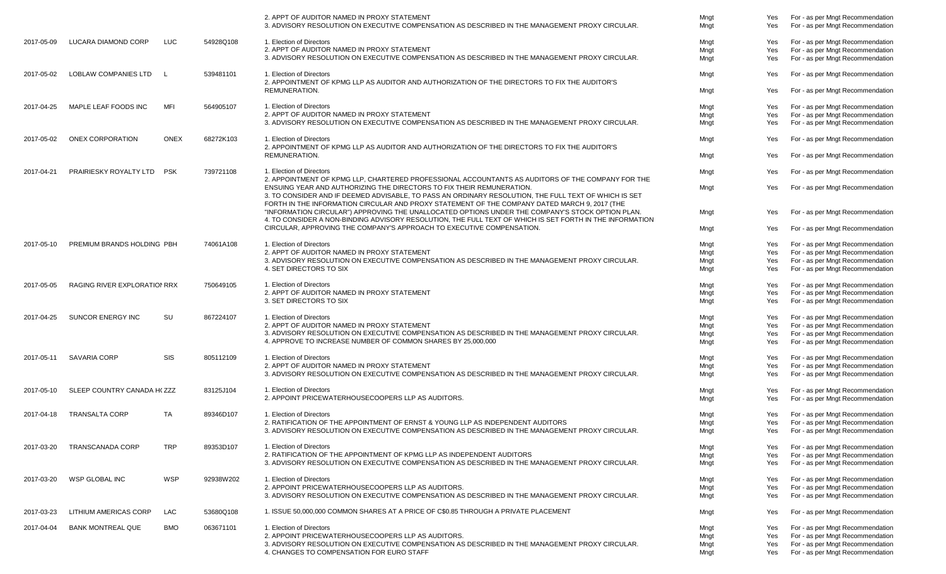|            |                              |              |           | 2. APPT OF AUDITOR NAMED IN PROXY STATEMENT<br>3. ADVISORY RESOLUTION ON EXECUTIVE COMPENSATION AS DESCRIBED IN THE MANAGEMENT PROXY CIRCULAR.                                                                                                                                  | Mngt<br>Mngt | Yes<br>Yes | For - as per Mngt Recommendation<br>For - as per Mngt Recommendation |
|------------|------------------------------|--------------|-----------|---------------------------------------------------------------------------------------------------------------------------------------------------------------------------------------------------------------------------------------------------------------------------------|--------------|------------|----------------------------------------------------------------------|
| 2017-05-09 | LUCARA DIAMOND CORP          | <b>LUC</b>   | 54928Q108 | 1. Election of Directors                                                                                                                                                                                                                                                        | Mngt         | Yes        | For - as per Mngt Recommendation                                     |
|            |                              |              |           | 2. APPT OF AUDITOR NAMED IN PROXY STATEMENT                                                                                                                                                                                                                                     | Mngt         | Yes        | For - as per Mngt Recommendation                                     |
|            |                              |              |           | 3. ADVISORY RESOLUTION ON EXECUTIVE COMPENSATION AS DESCRIBED IN THE MANAGEMENT PROXY CIRCULAR.                                                                                                                                                                                 | Mngt         | Yes        | For - as per Mngt Recommendation                                     |
| 2017-05-02 | <b>LOBLAW COMPANIES LTD</b>  | $\mathbf{I}$ | 539481101 | 1. Election of Directors                                                                                                                                                                                                                                                        | Mngt         | Yes        | For - as per Mngt Recommendation                                     |
|            |                              |              |           | 2. APPOINTMENT OF KPMG LLP AS AUDITOR AND AUTHORIZATION OF THE DIRECTORS TO FIX THE AUDITOR'S<br>REMUNERATION.                                                                                                                                                                  | Mngt         | Yes        | For - as per Mngt Recommendation                                     |
| 2017-04-25 | MAPLE LEAF FOODS INC         | <b>MFI</b>   | 564905107 | 1. Election of Directors                                                                                                                                                                                                                                                        | Mngt         | Yes        | For - as per Mngt Recommendation                                     |
|            |                              |              |           | 2. APPT OF AUDITOR NAMED IN PROXY STATEMENT                                                                                                                                                                                                                                     | Mngt         | Yes        | For - as per Mngt Recommendation                                     |
|            |                              |              |           | 3. ADVISORY RESOLUTION ON EXECUTIVE COMPENSATION AS DESCRIBED IN THE MANAGEMENT PROXY CIRCULAR.                                                                                                                                                                                 | Mngt         | Yes        | For - as per Mngt Recommendation                                     |
| 2017-05-02 | ONEX CORPORATION             | <b>ONEX</b>  | 68272K103 | 1. Election of Directors<br>2. APPOINTMENT OF KPMG LLP AS AUDITOR AND AUTHORIZATION OF THE DIRECTORS TO FIX THE AUDITOR'S                                                                                                                                                       | Mngt         | Yes        | For - as per Mngt Recommendation                                     |
|            |                              |              |           | REMUNERATION.                                                                                                                                                                                                                                                                   | Mngt         | Yes        | For - as per Mngt Recommendation                                     |
| 2017-04-21 | PRAIRIESKY ROYALTY LTD       | <b>PSK</b>   | 739721108 | 1. Election of Directors                                                                                                                                                                                                                                                        | Mngt         | Yes        | For - as per Mngt Recommendation                                     |
|            |                              |              |           | 2. APPOINTMENT OF KPMG LLP, CHARTERED PROFESSIONAL ACCOUNTANTS AS AUDITORS OF THE COMPANY FOR THE                                                                                                                                                                               |              |            |                                                                      |
|            |                              |              |           | ENSUING YEAR AND AUTHORIZING THE DIRECTORS TO FIX THEIR REMUNERATION.<br>3. TO CONSIDER AND IF DEEMED ADVISABLE, TO PASS AN ORDINARY RESOLUTION, THE FULL TEXT OF WHICH IS SET<br>FORTH IN THE INFORMATION CIRCULAR AND PROXY STATEMENT OF THE COMPANY DATED MARCH 9, 2017 (THE | Mngt         | Yes        | For - as per Mngt Recommendation                                     |
|            |                              |              |           | "INFORMATION CIRCULAR") APPROVING THE UNALLOCATED OPTIONS UNDER THE COMPANY'S STOCK OPTION PLAN.                                                                                                                                                                                | Mngt         | Yes        | For - as per Mngt Recommendation                                     |
|            |                              |              |           | 4. TO CONSIDER A NON-BINDING ADVISORY RESOLUTION, THE FULL TEXT OF WHICH IS SET FORTH IN THE INFORMATION<br>CIRCULAR, APPROVING THE COMPANY'S APPROACH TO EXECUTIVE COMPENSATION.                                                                                               | Mngt         | Yes        | For - as per Mngt Recommendation                                     |
| 2017-05-10 | PREMIUM BRANDS HOLDING PBH   |              | 74061A108 | 1. Election of Directors                                                                                                                                                                                                                                                        | Mngt         | Yes        | For - as per Mngt Recommendation                                     |
|            |                              |              |           | 2. APPT OF AUDITOR NAMED IN PROXY STATEMENT                                                                                                                                                                                                                                     | Mngt         | Yes        | For - as per Mngt Recommendation                                     |
|            |                              |              |           | 3. ADVISORY RESOLUTION ON EXECUTIVE COMPENSATION AS DESCRIBED IN THE MANAGEMENT PROXY CIRCULAR.                                                                                                                                                                                 | Mngt         | Yes        | For - as per Mngt Recommendation                                     |
|            |                              |              |           | 4. SET DIRECTORS TO SIX                                                                                                                                                                                                                                                         | Mngt         | Yes        | For - as per Mngt Recommendation                                     |
| 2017-05-05 | RAGING RIVER EXPLORATION RRX |              | 750649105 | 1. Election of Directors                                                                                                                                                                                                                                                        | Mngt         | Yes        | For - as per Mngt Recommendation                                     |
|            |                              |              |           | 2. APPT OF AUDITOR NAMED IN PROXY STATEMENT                                                                                                                                                                                                                                     | Mngt         | Yes        | For - as per Mngt Recommendation                                     |
|            |                              |              |           | 3. SET DIRECTORS TO SIX                                                                                                                                                                                                                                                         | Mngt         | Yes        | For - as per Mngt Recommendation                                     |
| 2017-04-25 | SUNCOR ENERGY INC            | SU           | 867224107 | 1. Election of Directors                                                                                                                                                                                                                                                        | Mngt         | Yes        | For - as per Mngt Recommendation                                     |
|            |                              |              |           | 2. APPT OF AUDITOR NAMED IN PROXY STATEMENT                                                                                                                                                                                                                                     | Mngt         | Yes        | For - as per Mngt Recommendation                                     |
|            |                              |              |           | 3. ADVISORY RESOLUTION ON EXECUTIVE COMPENSATION AS DESCRIBED IN THE MANAGEMENT PROXY CIRCULAR.                                                                                                                                                                                 | Mngt         | Yes        | For - as per Mngt Recommendation                                     |
|            |                              |              |           | 4. APPROVE TO INCREASE NUMBER OF COMMON SHARES BY 25,000,000                                                                                                                                                                                                                    | Mngt         | Yes        | For - as per Mngt Recommendation                                     |
| 2017-05-11 | SAVARIA CORP                 | <b>SIS</b>   | 805112109 | 1. Election of Directors                                                                                                                                                                                                                                                        | Mngt         | Yes        | For - as per Mngt Recommendation                                     |
|            |                              |              |           | 2. APPT OF AUDITOR NAMED IN PROXY STATEMENT                                                                                                                                                                                                                                     | Mngt         | Yes        | For - as per Mngt Recommendation                                     |
|            |                              |              |           | 3. ADVISORY RESOLUTION ON EXECUTIVE COMPENSATION AS DESCRIBED IN THE MANAGEMENT PROXY CIRCULAR.                                                                                                                                                                                 | Mngt         | Yes        | For - as per Mngt Recommendation                                     |
| 2017-05-10 | SLEEP COUNTRY CANADA H(ZZZ   |              | 83125J104 | 1. Election of Directors                                                                                                                                                                                                                                                        | Mngt         | Yes        | For - as per Mngt Recommendation                                     |
|            |                              |              |           | 2. APPOINT PRICEWATERHOUSECOOPERS LLP AS AUDITORS.                                                                                                                                                                                                                              | Mngt         | Yes        | For - as per Mngt Recommendation                                     |
| 2017-04-18 | <b>TRANSALTA CORP</b>        | TA           | 89346D107 | 1. Election of Directors                                                                                                                                                                                                                                                        | Mngt         | Yes        | For - as per Mngt Recommendation                                     |
|            |                              |              |           | 2. RATIFICATION OF THE APPOINTMENT OF ERNST & YOUNG LLP AS INDEPENDENT AUDITORS                                                                                                                                                                                                 | Mngt         | Yes        | For - as per Mngt Recommendation                                     |
|            |                              |              |           | 3. ADVISORY RESOLUTION ON EXECUTIVE COMPENSATION AS DESCRIBED IN THE MANAGEMENT PROXY CIRCULAR                                                                                                                                                                                  | Mngt         | Yes        | For - as per Mngt Recommendation                                     |
| 2017-03-20 | TRANSCANADA CORP             | <b>TRP</b>   | 89353D107 | 1. Election of Directors                                                                                                                                                                                                                                                        | Mngt         | Yes        | For - as per Mngt Recommendation                                     |
|            |                              |              |           | 2. RATIFICATION OF THE APPOINTMENT OF KPMG LLP AS INDEPENDENT AUDITORS                                                                                                                                                                                                          | Mngt         | Yes        | For - as per Mngt Recommendation                                     |
|            |                              |              |           | 3. ADVISORY RESOLUTION ON EXECUTIVE COMPENSATION AS DESCRIBED IN THE MANAGEMENT PROXY CIRCULAR.                                                                                                                                                                                 | Mngt         | Yes        | For - as per Mngt Recommendation                                     |
| 2017-03-20 | WSP GLOBAL INC               | <b>WSP</b>   | 92938W202 | 1. Election of Directors                                                                                                                                                                                                                                                        |              | Yes        | For - as per Mngt Recommendation                                     |
|            |                              |              |           | 2. APPOINT PRICEWATERHOUSECOOPERS LLP AS AUDITORS.                                                                                                                                                                                                                              | Mngt<br>Mngt | Yes        | For - as per Mngt Recommendation                                     |
|            |                              |              |           | 3. ADVISORY RESOLUTION ON EXECUTIVE COMPENSATION AS DESCRIBED IN THE MANAGEMENT PROXY CIRCULAR.                                                                                                                                                                                 | Mngt         | Yes        | For - as per Mngt Recommendation                                     |
| 2017-03-23 | LITHIUM AMERICAS CORP        | LAC          | 53680Q108 | 1. ISSUE 50,000,000 COMMON SHARES AT A PRICE OF C\$0.85 THROUGH A PRIVATE PLACEMENT                                                                                                                                                                                             | Mngt         | Yes        | For - as per Mngt Recommendation                                     |
| 2017-04-04 | <b>BANK MONTREAL QUE</b>     | <b>BMO</b>   | 063671101 | 1. Election of Directors                                                                                                                                                                                                                                                        | Mngt         | Yes        | For - as per Mngt Recommendation                                     |
|            |                              |              |           | 2. APPOINT PRICEWATERHOUSECOOPERS LLP AS AUDITORS.                                                                                                                                                                                                                              | Mngt         | Yes        | For - as per Mngt Recommendation                                     |
|            |                              |              |           | 3. ADVISORY RESOLUTION ON EXECUTIVE COMPENSATION AS DESCRIBED IN THE MANAGEMENT PROXY CIRCULAR.                                                                                                                                                                                 | Mngt         | Yes        | For - as per Mngt Recommendation                                     |
|            |                              |              |           | 4. CHANGES TO COMPENSATION FOR EURO STAFF                                                                                                                                                                                                                                       | Mngt         | Yes        | For - as per Mngt Recommendation                                     |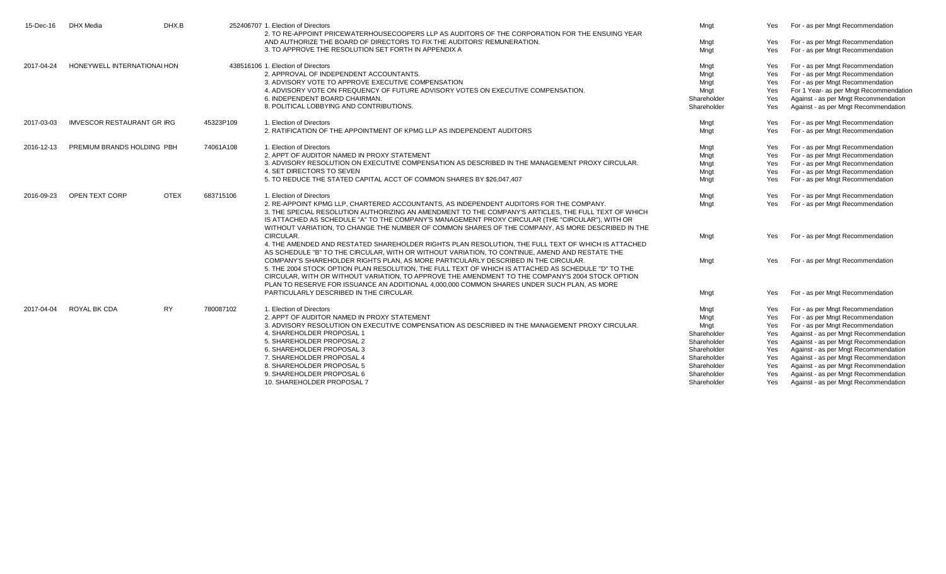| 15-Dec-16  | <b>DHX</b> Media                 | DHX.B       |           | 252406707 1. Election of Directors<br>2. TO RE-APPOINT PRICEWATERHOUSECOOPERS LLP AS AUDITORS OF THE CORPORATION FOR THE ENSUING YEAR                                                                                                                                                                                                                                                                    | Mngt        | Yes        | For - as per Mngt Recommendation       |
|------------|----------------------------------|-------------|-----------|----------------------------------------------------------------------------------------------------------------------------------------------------------------------------------------------------------------------------------------------------------------------------------------------------------------------------------------------------------------------------------------------------------|-------------|------------|----------------------------------------|
|            |                                  |             |           | AND AUTHORIZE THE BOARD OF DIRECTORS TO FIX THE AUDITORS' REMUNERATION.                                                                                                                                                                                                                                                                                                                                  | Mngt        | Yes        | For - as per Mngt Recommendation       |
|            |                                  |             |           | 3. TO APPROVE THE RESOLUTION SET FORTH IN APPENDIX A                                                                                                                                                                                                                                                                                                                                                     | Mngt        | Yes        | For - as per Mngt Recommendation       |
| 2017-04-24 | HONEYWELL INTERNATIONAL HON      |             |           | 438516106 1. Election of Directors                                                                                                                                                                                                                                                                                                                                                                       | Mngt        | Yes        | For - as per Mngt Recommendation       |
|            |                                  |             |           | 2. APPROVAL OF INDEPENDENT ACCOUNTANTS.                                                                                                                                                                                                                                                                                                                                                                  | Mngt        | Yes        | For - as per Mngt Recommendation       |
|            |                                  |             |           | 3. ADVISORY VOTE TO APPROVE EXECUTIVE COMPENSATION                                                                                                                                                                                                                                                                                                                                                       | Mngt        | Yes        | For - as per Mngt Recommendation       |
|            |                                  |             |           | 4. ADVISORY VOTE ON FREQUENCY OF FUTURE ADVISORY VOTES ON EXECUTIVE COMPENSATION.                                                                                                                                                                                                                                                                                                                        | Mngt        | <b>Yes</b> | For 1 Year- as per Mngt Recommendation |
|            |                                  |             |           | 6. INDEPENDENT BOARD CHAIRMAN.                                                                                                                                                                                                                                                                                                                                                                           | Shareholder | Yes        | Against - as per Mngt Recommendation   |
|            |                                  |             |           | 8. POLITICAL LOBBYING AND CONTRIBUTIONS.                                                                                                                                                                                                                                                                                                                                                                 | Shareholder | Yes        | Against - as per Mngt Recommendation   |
| 2017-03-03 | <b>IMVESCOR RESTAURANT GRIRG</b> |             | 45323P109 | 1. Election of Directors                                                                                                                                                                                                                                                                                                                                                                                 | Mngt        | Yes        | For - as per Mngt Recommendation       |
|            |                                  |             |           | 2. RATIFICATION OF THE APPOINTMENT OF KPMG LLP AS INDEPENDENT AUDITORS                                                                                                                                                                                                                                                                                                                                   | Mngt        | Yes        | For - as per Mngt Recommendation       |
| 2016-12-13 | PREMIUM BRANDS HOLDING PBH       |             | 74061A108 | 1. Election of Directors                                                                                                                                                                                                                                                                                                                                                                                 | Mngt        | Yes        | For - as per Mngt Recommendation       |
|            |                                  |             |           | 2. APPT OF AUDITOR NAMED IN PROXY STATEMENT                                                                                                                                                                                                                                                                                                                                                              | Mngt        | <b>Yes</b> | For - as per Mngt Recommendation       |
|            |                                  |             |           | 3. ADVISORY RESOLUTION ON EXECUTIVE COMPENSATION AS DESCRIBED IN THE MANAGEMENT PROXY CIRCULAR.                                                                                                                                                                                                                                                                                                          | Mngt        | Yes        | For - as per Mngt Recommendation       |
|            |                                  |             |           | 4. SET DIRECTORS TO SEVEN                                                                                                                                                                                                                                                                                                                                                                                | Mngt        | Yes        | For - as per Mngt Recommendation       |
|            |                                  |             |           | 5. TO REDUCE THE STATED CAPITAL ACCT OF COMMON SHARES BY \$26,047,407                                                                                                                                                                                                                                                                                                                                    | Mngt        | Yes        | For - as per Mngt Recommendation       |
| 2016-09-23 | OPEN TEXT CORP                   | <b>OTEX</b> | 683715106 | 1. Election of Directors                                                                                                                                                                                                                                                                                                                                                                                 | Mngt        | Yes        | For - as per Mngt Recommendation       |
|            |                                  |             |           | 2. RE-APPOINT KPMG LLP, CHARTERED ACCOUNTANTS, AS INDEPENDENT AUDITORS FOR THE COMPANY.<br>3. THE SPECIAL RESOLUTION AUTHORIZING AN AMENDMENT TO THE COMPANY'S ARTICLES, THE FULL TEXT OF WHICH<br>IS ATTACHED AS SCHEDULE "A" TO THE COMPANY'S MANAGEMENT PROXY CIRCULAR (THE "CIRCULAR"), WITH OR<br>WITHOUT VARIATION. TO CHANGE THE NUMBER OF COMMON SHARES OF THE COMPANY, AS MORE DESCRIBED IN THE | Mnat        | Yes        | For - as per Mngt Recommendation       |
|            |                                  |             |           | CIRCULAR.<br>4. THE AMENDED AND RESTATED SHAREHOLDER RIGHTS PLAN RESOLUTION. THE FULL TEXT OF WHICH IS ATTACHED<br>AS SCHEDULE "B" TO THE CIRCULAR, WITH OR WITHOUT VARIATION, TO CONTINUE, AMEND AND RESTATE THE                                                                                                                                                                                        | Mngt        | Yes        | For - as per Mngt Recommendation       |
|            |                                  |             |           | COMPANY'S SHAREHOLDER RIGHTS PLAN. AS MORE PARTICULARLY DESCRIBED IN THE CIRCULAR.<br>5. THE 2004 STOCK OPTION PLAN RESOLUTION. THE FULL TEXT OF WHICH IS ATTACHED AS SCHEDULE "D" TO THE<br>CIRCULAR, WITH OR WITHOUT VARIATION. TO APPROVE THE AMENDMENT TO THE COMPANY'S 2004 STOCK OPTION<br>PLAN TO RESERVE FOR ISSUANCE AN ADDITIONAL 4,000,000 COMMON SHARES UNDER SUCH PLAN, AS MORE             | Mngt        | Yes        | For - as per Mngt Recommendation       |
|            |                                  |             |           | PARTICULARLY DESCRIBED IN THE CIRCULAR.                                                                                                                                                                                                                                                                                                                                                                  | Mngt        | Yes        | For - as per Mngt Recommendation       |
| 2017-04-04 | ROYAL BK CDA                     | <b>RY</b>   | 780087102 | 1. Election of Directors                                                                                                                                                                                                                                                                                                                                                                                 | Mngt        | Yes        | For - as per Mngt Recommendation       |
|            |                                  |             |           | 2. APPT OF AUDITOR NAMED IN PROXY STATEMENT                                                                                                                                                                                                                                                                                                                                                              | Mngt        | Yes        | For - as per Mngt Recommendation       |
|            |                                  |             |           | 3. ADVISORY RESOLUTION ON EXECUTIVE COMPENSATION AS DESCRIBED IN THE MANAGEMENT PROXY CIRCULAR.                                                                                                                                                                                                                                                                                                          | Mngt        | Yes        | For - as per Mngt Recommendation       |
|            |                                  |             |           | 4. SHAREHOLDER PROPOSAL 1                                                                                                                                                                                                                                                                                                                                                                                | Shareholder | Yes        | Against - as per Mngt Recommendation   |
|            |                                  |             |           | 5. SHAREHOLDER PROPOSAL 2                                                                                                                                                                                                                                                                                                                                                                                | Shareholder | Yes        | Against - as per Mngt Recommendation   |
|            |                                  |             |           | 6. SHAREHOLDER PROPOSAL 3                                                                                                                                                                                                                                                                                                                                                                                | Shareholder | Yes        | Against - as per Mngt Recommendation   |
|            |                                  |             |           | 7. SHAREHOLDER PROPOSAL 4                                                                                                                                                                                                                                                                                                                                                                                | Shareholder | Yes        | Against - as per Mngt Recommendation   |
|            |                                  |             |           | 8. SHAREHOLDER PROPOSAL 5                                                                                                                                                                                                                                                                                                                                                                                | Shareholder | Yes        | Against - as per Mngt Recommendation   |
|            |                                  |             |           | 9. SHAREHOLDER PROPOSAL 6                                                                                                                                                                                                                                                                                                                                                                                | Shareholder | Yes        | Against - as per Mngt Recommendation   |
|            |                                  |             |           | 10. SHAREHOLDER PROPOSAL 7                                                                                                                                                                                                                                                                                                                                                                               | Shareholder | Yes        | Against - as per Mngt Recommendation   |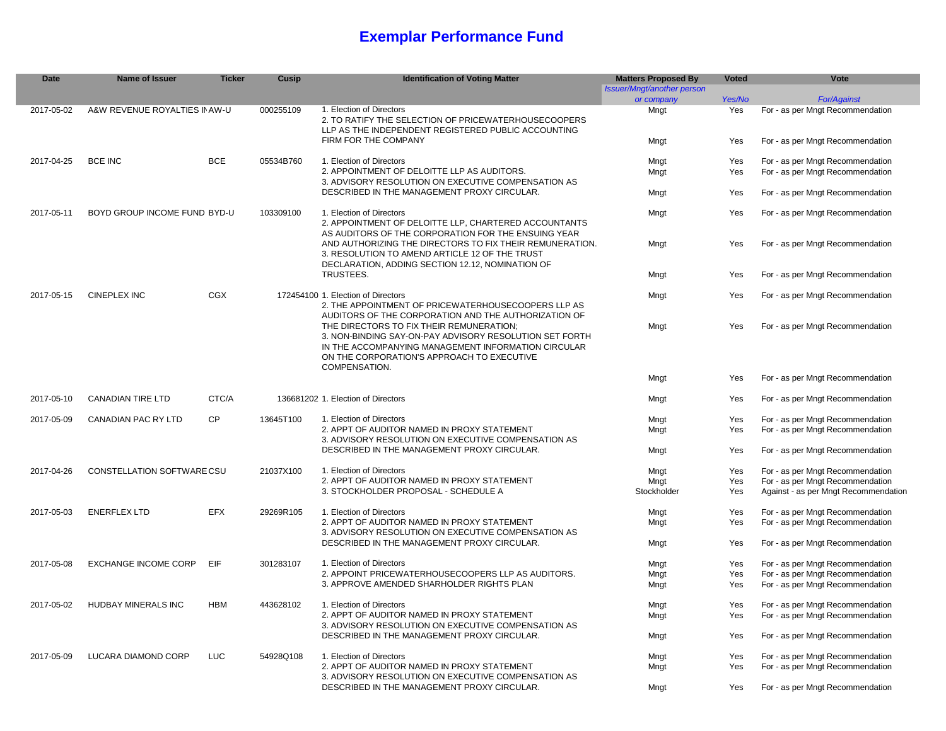## **Exemplar Performance Fund**

| <b>Date</b> | <b>Name of Issuer</b>             | <b>Ticker</b> | Cusip     | <b>Identification of Voting Matter</b>                                                                                                                                                                   | <b>Matters Proposed By</b> | <b>Voted</b> | Vote                                 |
|-------------|-----------------------------------|---------------|-----------|----------------------------------------------------------------------------------------------------------------------------------------------------------------------------------------------------------|----------------------------|--------------|--------------------------------------|
|             |                                   |               |           |                                                                                                                                                                                                          | Issuer/Mngt/another person |              |                                      |
|             |                                   |               |           |                                                                                                                                                                                                          | or company                 | Yes/No       | <b>For/Against</b>                   |
| 2017-05-02  | A&W REVENUE ROYALTIES IN AW-U     |               | 000255109 | 1. Election of Directors<br>2. TO RATIFY THE SELECTION OF PRICEWATERHOUSECOOPERS<br>LLP AS THE INDEPENDENT REGISTERED PUBLIC ACCOUNTING                                                                  | Mngt                       | Yes          | For - as per Mngt Recommendation     |
|             |                                   |               |           | FIRM FOR THE COMPANY                                                                                                                                                                                     | Mngt                       | Yes          | For - as per Mngt Recommendation     |
| 2017-04-25  | <b>BCE INC</b>                    | <b>BCE</b>    | 05534B760 | 1. Election of Directors                                                                                                                                                                                 | Mngt                       | Yes          | For - as per Mngt Recommendation     |
|             |                                   |               |           | 2. APPOINTMENT OF DELOITTE LLP AS AUDITORS.                                                                                                                                                              | Mngt                       | Yes          | For - as per Mngt Recommendation     |
|             |                                   |               |           | 3. ADVISORY RESOLUTION ON EXECUTIVE COMPENSATION AS                                                                                                                                                      |                            |              |                                      |
|             |                                   |               |           | DESCRIBED IN THE MANAGEMENT PROXY CIRCULAR.                                                                                                                                                              | Mngt                       | Yes          | For - as per Mngt Recommendation     |
| 2017-05-11  | BOYD GROUP INCOME FUND BYD-U      |               | 103309100 | 1. Election of Directors<br>2. APPOINTMENT OF DELOITTE LLP, CHARTERED ACCOUNTANTS                                                                                                                        | Mngt                       | Yes          | For - as per Mngt Recommendation     |
|             |                                   |               |           | AS AUDITORS OF THE CORPORATION FOR THE ENSUING YEAR<br>AND AUTHORIZING THE DIRECTORS TO FIX THEIR REMUNERATION.<br>3. RESOLUTION TO AMEND ARTICLE 12 OF THE TRUST                                        | Mngt                       | Yes          | For - as per Mngt Recommendation     |
|             |                                   |               |           | DECLARATION, ADDING SECTION 12.12, NOMINATION OF<br>TRUSTEES.                                                                                                                                            | Mngt                       | Yes          | For - as per Mngt Recommendation     |
|             |                                   |               |           |                                                                                                                                                                                                          |                            |              |                                      |
| 2017-05-15  | <b>CINEPLEX INC</b>               | CGX           |           | 172454100 1. Election of Directors<br>2. THE APPOINTMENT OF PRICEWATERHOUSECOOPERS LLP AS                                                                                                                | Mngt                       | Yes          | For - as per Mngt Recommendation     |
|             |                                   |               |           | AUDITORS OF THE CORPORATION AND THE AUTHORIZATION OF                                                                                                                                                     |                            | Yes          |                                      |
|             |                                   |               |           | THE DIRECTORS TO FIX THEIR REMUNERATION;<br>3. NON-BINDING SAY-ON-PAY ADVISORY RESOLUTION SET FORTH<br>IN THE ACCOMPANYING MANAGEMENT INFORMATION CIRCULAR<br>ON THE CORPORATION'S APPROACH TO EXECUTIVE | Mngt                       |              | For - as per Mngt Recommendation     |
|             |                                   |               |           | COMPENSATION.                                                                                                                                                                                            | Mngt                       | Yes          | For - as per Mngt Recommendation     |
| 2017-05-10  | <b>CANADIAN TIRE LTD</b>          | CTC/A         |           | 136681202 1. Election of Directors                                                                                                                                                                       | Mngt                       | Yes          | For - as per Mngt Recommendation     |
| 2017-05-09  | <b>CANADIAN PAC RY LTD</b>        | <b>CP</b>     | 13645T100 | 1. Election of Directors                                                                                                                                                                                 | Mngt                       | Yes          | For - as per Mngt Recommendation     |
|             |                                   |               |           | 2. APPT OF AUDITOR NAMED IN PROXY STATEMENT                                                                                                                                                              | Mngt                       | Yes          | For - as per Mngt Recommendation     |
|             |                                   |               |           | 3. ADVISORY RESOLUTION ON EXECUTIVE COMPENSATION AS                                                                                                                                                      |                            |              |                                      |
|             |                                   |               |           | DESCRIBED IN THE MANAGEMENT PROXY CIRCULAR.                                                                                                                                                              | Mngt                       | Yes          | For - as per Mngt Recommendation     |
| 2017-04-26  | <b>CONSTELLATION SOFTWARE CSU</b> |               | 21037X100 | 1. Election of Directors                                                                                                                                                                                 | Mngt                       | Yes          | For - as per Mngt Recommendation     |
|             |                                   |               |           | 2. APPT OF AUDITOR NAMED IN PROXY STATEMENT                                                                                                                                                              | Mngt                       | Yes          | For - as per Mngt Recommendation     |
|             |                                   |               |           | 3. STOCKHOLDER PROPOSAL - SCHEDULE A                                                                                                                                                                     | Stockholder                | Yes          | Against - as per Mngt Recommendation |
| 2017-05-03  | <b>ENERFLEX LTD</b>               | <b>EFX</b>    | 29269R105 | 1. Election of Directors                                                                                                                                                                                 | Mngt                       | Yes          | For - as per Mngt Recommendation     |
|             |                                   |               |           | 2. APPT OF AUDITOR NAMED IN PROXY STATEMENT<br>3. ADVISORY RESOLUTION ON EXECUTIVE COMPENSATION AS                                                                                                       | Mngt                       | Yes          | For - as per Mngt Recommendation     |
|             |                                   |               |           | DESCRIBED IN THE MANAGEMENT PROXY CIRCULAR.                                                                                                                                                              | Mngt                       | Yes          | For - as per Mngt Recommendation     |
| 2017-05-08  | <b>EXCHANGE INCOME CORP</b>       | EIF           | 301283107 | 1. Election of Directors                                                                                                                                                                                 | Mngt                       | Yes          | For - as per Mngt Recommendation     |
|             |                                   |               |           | 2. APPOINT PRICEWATERHOUSECOOPERS LLP AS AUDITORS.                                                                                                                                                       | Mngt                       | Yes          | For - as per Mngt Recommendation     |
|             |                                   |               |           | 3. APPROVE AMENDED SHARHOLDER RIGHTS PLAN                                                                                                                                                                | Mngt                       | Yes          | For - as per Mngt Recommendation     |
| 2017-05-02  | HUDBAY MINERALS INC               | <b>HBM</b>    | 443628102 | 1. Election of Directors                                                                                                                                                                                 | Mngt                       | Yes          | For - as per Mngt Recommendation     |
|             |                                   |               |           | 2. APPT OF AUDITOR NAMED IN PROXY STATEMENT                                                                                                                                                              | Mngt                       | Yes          | For - as per Mngt Recommendation     |
|             |                                   |               |           | 3. ADVISORY RESOLUTION ON EXECUTIVE COMPENSATION AS                                                                                                                                                      |                            |              |                                      |
|             |                                   |               |           | DESCRIBED IN THE MANAGEMENT PROXY CIRCULAR.                                                                                                                                                              | Mngt                       | Yes          | For - as per Mngt Recommendation     |
| 2017-05-09  | LUCARA DIAMOND CORP               | LUC           | 54928Q108 | 1. Election of Directors                                                                                                                                                                                 | Mngt                       | Yes          | For - as per Mngt Recommendation     |
|             |                                   |               |           | 2. APPT OF AUDITOR NAMED IN PROXY STATEMENT                                                                                                                                                              | Mngt                       | Yes          | For - as per Mngt Recommendation     |
|             |                                   |               |           | 3. ADVISORY RESOLUTION ON EXECUTIVE COMPENSATION AS                                                                                                                                                      |                            |              |                                      |
|             |                                   |               |           | DESCRIBED IN THE MANAGEMENT PROXY CIRCULAR.                                                                                                                                                              | Mngt                       | Yes          | For - as per Mngt Recommendation     |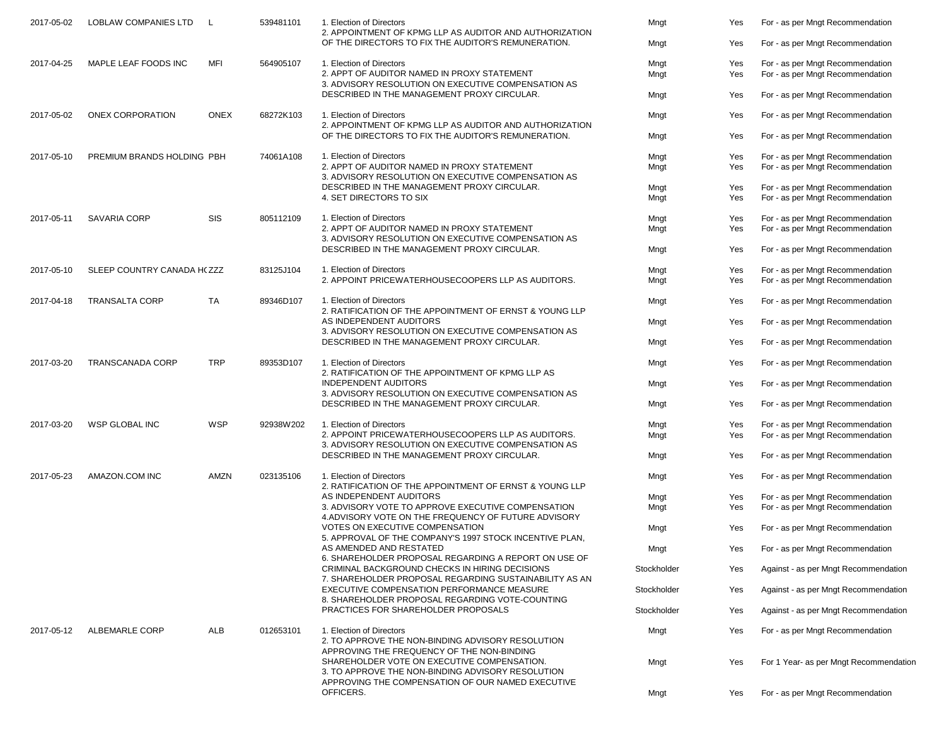| 2017-05-02 | <b>LOBLAW COMPANIES LTD</b> | L           | 539481101 | 1. Election of Directors<br>2. APPOINTMENT OF KPMG LLP AS AUDITOR AND AUTHORIZATION<br>OF THE DIRECTORS TO FIX THE AUDITOR'S REMUNERATION. | Mngt<br>Mngt | Yes<br>Yes | For - as per Mngt Recommendation<br>For - as per Mngt Recommendation |
|------------|-----------------------------|-------------|-----------|--------------------------------------------------------------------------------------------------------------------------------------------|--------------|------------|----------------------------------------------------------------------|
| 2017-04-25 | MAPLE LEAF FOODS INC        | <b>MFI</b>  | 564905107 | 1. Election of Directors                                                                                                                   | Mngt         | Yes        | For - as per Mngt Recommendation                                     |
|            |                             |             |           | 2. APPT OF AUDITOR NAMED IN PROXY STATEMENT<br>3. ADVISORY RESOLUTION ON EXECUTIVE COMPENSATION AS                                         | Mngt         | Yes        | For - as per Mngt Recommendation                                     |
|            |                             |             |           | DESCRIBED IN THE MANAGEMENT PROXY CIRCULAR.                                                                                                | Mngt         | Yes        | For - as per Mngt Recommendation                                     |
| 2017-05-02 | ONEX CORPORATION            | <b>ONEX</b> | 68272K103 | 1. Election of Directors<br>2. APPOINTMENT OF KPMG LLP AS AUDITOR AND AUTHORIZATION                                                        | Mngt         | Yes        | For - as per Mngt Recommendation                                     |
|            |                             |             |           | OF THE DIRECTORS TO FIX THE AUDITOR'S REMUNERATION.                                                                                        | Mngt         | Yes        | For - as per Mngt Recommendation                                     |
| 2017-05-10 | PREMIUM BRANDS HOLDING PBH  |             | 74061A108 | 1. Election of Directors                                                                                                                   | Mngt         | Yes        | For - as per Mngt Recommendation                                     |
|            |                             |             |           | 2. APPT OF AUDITOR NAMED IN PROXY STATEMENT<br>3. ADVISORY RESOLUTION ON EXECUTIVE COMPENSATION AS                                         | Mngt         | Yes        | For - as per Mngt Recommendation                                     |
|            |                             |             |           | DESCRIBED IN THE MANAGEMENT PROXY CIRCULAR.                                                                                                | Mngt         | Yes        | For - as per Mngt Recommendation                                     |
|            |                             |             |           | 4. SET DIRECTORS TO SIX                                                                                                                    | Mngt         | Yes        | For - as per Mngt Recommendation                                     |
| 2017-05-11 | <b>SAVARIA CORP</b>         | <b>SIS</b>  | 805112109 | 1. Election of Directors                                                                                                                   | Mngt         | Yes        | For - as per Mngt Recommendation                                     |
|            |                             |             |           | 2. APPT OF AUDITOR NAMED IN PROXY STATEMENT                                                                                                | Mngt         | Yes        | For - as per Mngt Recommendation                                     |
|            |                             |             |           | 3. ADVISORY RESOLUTION ON EXECUTIVE COMPENSATION AS<br>DESCRIBED IN THE MANAGEMENT PROXY CIRCULAR.                                         | Mngt         | Yes        | For - as per Mngt Recommendation                                     |
|            |                             |             |           |                                                                                                                                            |              |            |                                                                      |
| 2017-05-10 | SLEEP COUNTRY CANADA H(ZZZ  |             | 83125J104 | 1. Election of Directors                                                                                                                   | Mngt         | Yes        | For - as per Mngt Recommendation                                     |
|            |                             |             |           | 2. APPOINT PRICEWATERHOUSECOOPERS LLP AS AUDITORS.                                                                                         | Mngt         | Yes        | For - as per Mngt Recommendation                                     |
| 2017-04-18 | <b>TRANSALTA CORP</b>       | <b>TA</b>   | 89346D107 | 1. Election of Directors                                                                                                                   | Mngt         | Yes        | For - as per Mngt Recommendation                                     |
|            |                             |             |           | 2. RATIFICATION OF THE APPOINTMENT OF ERNST & YOUNG LLP<br>AS INDEPENDENT AUDITORS                                                         | Mngt         | Yes        | For - as per Mngt Recommendation                                     |
|            |                             |             |           | 3. ADVISORY RESOLUTION ON EXECUTIVE COMPENSATION AS<br>DESCRIBED IN THE MANAGEMENT PROXY CIRCULAR.                                         |              | Yes        | For - as per Mngt Recommendation                                     |
|            |                             |             |           |                                                                                                                                            | Mngt         |            |                                                                      |
| 2017-03-20 | <b>TRANSCANADA CORP</b>     | <b>TRP</b>  | 89353D107 | 1. Election of Directors<br>2. RATIFICATION OF THE APPOINTMENT OF KPMG LLP AS                                                              | Mngt         | Yes        | For - as per Mngt Recommendation                                     |
|            |                             |             |           | <b>INDEPENDENT AUDITORS</b>                                                                                                                | Mngt         | Yes        | For - as per Mngt Recommendation                                     |
|            |                             |             |           | 3. ADVISORY RESOLUTION ON EXECUTIVE COMPENSATION AS<br>DESCRIBED IN THE MANAGEMENT PROXY CIRCULAR.                                         | Mngt         | Yes        | For - as per Mngt Recommendation                                     |
|            |                             |             |           |                                                                                                                                            |              |            |                                                                      |
| 2017-03-20 | WSP GLOBAL INC              | <b>WSP</b>  | 92938W202 | 1. Election of Directors                                                                                                                   | Mngt         | Yes        | For - as per Mngt Recommendation                                     |
|            |                             |             |           | 2. APPOINT PRICEWATERHOUSECOOPERS LLP AS AUDITORS.<br>3. ADVISORY RESOLUTION ON EXECUTIVE COMPENSATION AS                                  | Mngt         | Yes        | For - as per Mngt Recommendation                                     |
|            |                             |             |           | DESCRIBED IN THE MANAGEMENT PROXY CIRCULAR.                                                                                                | Mngt         | Yes        | For - as per Mngt Recommendation                                     |
| 2017-05-23 | AMAZON.COM INC              | AMZN        | 023135106 | 1. Election of Directors                                                                                                                   | Mngt         | Yes        | For - as per Mngt Recommendation                                     |
|            |                             |             |           | 2. RATIFICATION OF THE APPOINTMENT OF ERNST & YOUNG LLP                                                                                    |              |            |                                                                      |
|            |                             |             |           | AS INDEPENDENT AUDITORS<br>3. ADVISORY VOTE TO APPROVE EXECUTIVE COMPENSATION                                                              | Mngt         | Yes        | For - as per Mngt Recommendation                                     |
|            |                             |             |           | 4. ADVISORY VOTE ON THE FREQUENCY OF FUTURE ADVISORY                                                                                       | Mngt         | Yes        | For - as per Mngt Recommendation                                     |
|            |                             |             |           | VOTES ON EXECUTIVE COMPENSATION<br>5. APPROVAL OF THE COMPANY'S 1997 STOCK INCENTIVE PLAN,                                                 | Mngt         | Yes        | For - as per Mngt Recommendation                                     |
|            |                             |             |           | AS AMENDED AND RESTATED                                                                                                                    | Mngt         | Yes        | For - as per Mngt Recommendation                                     |
|            |                             |             |           | 6. SHAREHOLDER PROPOSAL REGARDING A REPORT ON USE OF<br>CRIMINAL BACKGROUND CHECKS IN HIRING DECISIONS                                     | Stockholder  | Yes        | Against - as per Mngt Recommendation                                 |
|            |                             |             |           | 7. SHAREHOLDER PROPOSAL REGARDING SUSTAINABILITY AS AN<br>EXECUTIVE COMPENSATION PERFORMANCE MEASURE                                       |              |            |                                                                      |
|            |                             |             |           | 8. SHAREHOLDER PROPOSAL REGARDING VOTE-COUNTING                                                                                            | Stockholder  | Yes        | Against - as per Mngt Recommendation                                 |
|            |                             |             |           | PRACTICES FOR SHAREHOLDER PROPOSALS                                                                                                        | Stockholder  | Yes        | Against - as per Mngt Recommendation                                 |
| 2017-05-12 | <b>ALBEMARLE CORP</b>       | ALB         | 012653101 | 1. Election of Directors                                                                                                                   | Mngt         | Yes        | For - as per Mngt Recommendation                                     |
|            |                             |             |           | 2. TO APPROVE THE NON-BINDING ADVISORY RESOLUTION<br>APPROVING THE FREQUENCY OF THE NON-BINDING                                            |              |            |                                                                      |
|            |                             |             |           | SHAREHOLDER VOTE ON EXECUTIVE COMPENSATION.<br>3. TO APPROVE THE NON-BINDING ADVISORY RESOLUTION                                           | Mngt         | Yes        | For 1 Year- as per Mngt Recommendation                               |
|            |                             |             |           | APPROVING THE COMPENSATION OF OUR NAMED EXECUTIVE                                                                                          |              |            |                                                                      |
|            |                             |             |           | OFFICERS.                                                                                                                                  | Mngt         | Yes        | For - as per Mngt Recommendation                                     |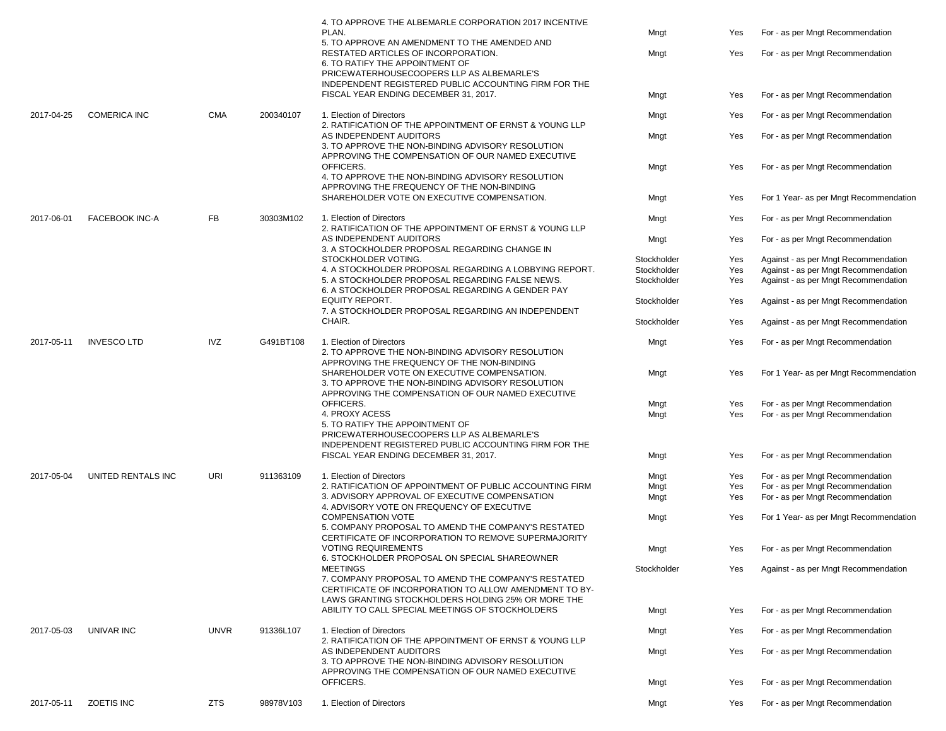|            |                       |             |           | 4. TO APPROVE THE ALBEMARLE CORPORATION 2017 INCENTIVE<br>PLAN.                                                                                                     | Mngt        | Yes | For - as per Mngt Recommendation       |
|------------|-----------------------|-------------|-----------|---------------------------------------------------------------------------------------------------------------------------------------------------------------------|-------------|-----|----------------------------------------|
|            |                       |             |           | 5. TO APPROVE AN AMENDMENT TO THE AMENDED AND<br>RESTATED ARTICLES OF INCORPORATION.                                                                                | Mngt        | Yes | For - as per Mngt Recommendation       |
|            |                       |             |           | 6. TO RATIFY THE APPOINTMENT OF<br>PRICEWATERHOUSECOOPERS LLP AS ALBEMARLE'S<br>INDEPENDENT REGISTERED PUBLIC ACCOUNTING FIRM FOR THE                               |             |     |                                        |
|            |                       |             |           | FISCAL YEAR ENDING DECEMBER 31, 2017.                                                                                                                               | Mngt        | Yes | For - as per Mngt Recommendation       |
| 2017-04-25 | <b>COMERICA INC</b>   | <b>CMA</b>  | 200340107 | 1. Election of Directors<br>2. RATIFICATION OF THE APPOINTMENT OF ERNST & YOUNG LLP                                                                                 | Mngt        | Yes | For - as per Mngt Recommendation       |
|            |                       |             |           | AS INDEPENDENT AUDITORS<br>3. TO APPROVE THE NON-BINDING ADVISORY RESOLUTION<br>APPROVING THE COMPENSATION OF OUR NAMED EXECUTIVE                                   | Mngt        | Yes | For - as per Mngt Recommendation       |
|            |                       |             |           | OFFICERS.<br>4. TO APPROVE THE NON-BINDING ADVISORY RESOLUTION<br>APPROVING THE FREQUENCY OF THE NON-BINDING                                                        | Mngt        | Yes | For - as per Mngt Recommendation       |
|            |                       |             |           | SHAREHOLDER VOTE ON EXECUTIVE COMPENSATION.                                                                                                                         | Mngt        | Yes | For 1 Year- as per Mngt Recommendation |
| 2017-06-01 | <b>FACEBOOK INC-A</b> | FB          | 30303M102 | 1. Election of Directors<br>2. RATIFICATION OF THE APPOINTMENT OF ERNST & YOUNG LLP                                                                                 | Mngt        | Yes | For - as per Mngt Recommendation       |
|            |                       |             |           | AS INDEPENDENT AUDITORS<br>3. A STOCKHOLDER PROPOSAL REGARDING CHANGE IN                                                                                            | Mngt        | Yes | For - as per Mngt Recommendation       |
|            |                       |             |           | STOCKHOLDER VOTING.                                                                                                                                                 | Stockholder | Yes | Against - as per Mngt Recommendation   |
|            |                       |             |           | 4. A STOCKHOLDER PROPOSAL REGARDING A LOBBYING REPORT.                                                                                                              | Stockholder | Yes | Against - as per Mngt Recommendation   |
|            |                       |             |           | 5. A STOCKHOLDER PROPOSAL REGARDING FALSE NEWS.<br>6. A STOCKHOLDER PROPOSAL REGARDING A GENDER PAY                                                                 | Stockholder | Yes | Against - as per Mngt Recommendation   |
|            |                       |             |           | EQUITY REPORT.<br>7. A STOCKHOLDER PROPOSAL REGARDING AN INDEPENDENT                                                                                                | Stockholder | Yes | Against - as per Mngt Recommendation   |
|            |                       |             |           | CHAIR.                                                                                                                                                              | Stockholder | Yes | Against - as per Mngt Recommendation   |
| 2017-05-11 | <b>INVESCO LTD</b>    | <b>IVZ</b>  | G491BT108 | 1. Election of Directors<br>2. TO APPROVE THE NON-BINDING ADVISORY RESOLUTION<br>APPROVING THE FREQUENCY OF THE NON-BINDING                                         | Mngt        | Yes | For - as per Mngt Recommendation       |
|            |                       |             |           | SHAREHOLDER VOTE ON EXECUTIVE COMPENSATION.<br>3. TO APPROVE THE NON-BINDING ADVISORY RESOLUTION<br>APPROVING THE COMPENSATION OF OUR NAMED EXECUTIVE               | Mngt        | Yes | For 1 Year- as per Mngt Recommendation |
|            |                       |             |           | OFFICERS.                                                                                                                                                           | Mngt        | Yes | For - as per Mngt Recommendation       |
|            |                       |             |           | 4. PROXY ACESS<br>5. TO RATIFY THE APPOINTMENT OF<br>PRICEWATERHOUSECOOPERS LLP AS ALBEMARLE'S                                                                      | Mngt        | Yes | For - as per Mngt Recommendation       |
|            |                       |             |           | INDEPENDENT REGISTERED PUBLIC ACCOUNTING FIRM FOR THE                                                                                                               |             |     |                                        |
|            |                       |             |           | FISCAL YEAR ENDING DECEMBER 31, 2017.                                                                                                                               | Mngt        | Yes | For - as per Mngt Recommendation       |
| 2017-05-04 | UNITED RENTALS INC    | URI         | 911363109 | 1. Election of Directors                                                                                                                                            | Mngt        | Yes | For - as per Mngt Recommendation       |
|            |                       |             |           | 2. RATIFICATION OF APPOINTMENT OF PUBLIC ACCOUNTING FIRM                                                                                                            | Mngt        | Yes | For - as per Mngt Recommendation       |
|            |                       |             |           | 3. ADVISORY APPROVAL OF EXECUTIVE COMPENSATION<br>4. ADVISORY VOTE ON FREQUENCY OF EXECUTIVE                                                                        | Mngt        | Yes | For - as per Mngt Recommendation       |
|            |                       |             |           | <b>COMPENSATION VOTE</b><br>5. COMPANY PROPOSAL TO AMEND THE COMPANY'S RESTATED<br>CERTIFICATE OF INCORPORATION TO REMOVE SUPERMAJORITY                             | Mngt        | Yes | For 1 Year- as per Mngt Recommendation |
|            |                       |             |           | <b>VOTING REQUIREMENTS</b>                                                                                                                                          | Mngt        | Yes | For - as per Mngt Recommendation       |
|            |                       |             |           | 6. STOCKHOLDER PROPOSAL ON SPECIAL SHAREOWNER<br><b>MEETINGS</b>                                                                                                    | Stockholder | Yes | Against - as per Mngt Recommendation   |
|            |                       |             |           | 7. COMPANY PROPOSAL TO AMEND THE COMPANY'S RESTATED<br>CERTIFICATE OF INCORPORATION TO ALLOW AMENDMENT TO BY-<br>LAWS GRANTING STOCKHOLDERS HOLDING 25% OR MORE THE |             |     |                                        |
|            |                       |             |           | ABILITY TO CALL SPECIAL MEETINGS OF STOCKHOLDERS                                                                                                                    | Mngt        | Yes | For - as per Mngt Recommendation       |
| 2017-05-03 | <b>UNIVAR INC</b>     | <b>UNVR</b> | 91336L107 | 1. Election of Directors                                                                                                                                            | Mngt        | Yes | For - as per Mngt Recommendation       |
|            |                       |             |           | 2. RATIFICATION OF THE APPOINTMENT OF ERNST & YOUNG LLP<br>AS INDEPENDENT AUDITORS                                                                                  | Mngt        | Yes | For - as per Mngt Recommendation       |
|            |                       |             |           | 3. TO APPROVE THE NON-BINDING ADVISORY RESOLUTION<br>APPROVING THE COMPENSATION OF OUR NAMED EXECUTIVE                                                              |             |     |                                        |
|            |                       |             |           | OFFICERS.                                                                                                                                                           | Mngt        | Yes | For - as per Mngt Recommendation       |
| 2017-05-11 | ZOETIS INC            | ZTS         | 98978V103 | 1. Election of Directors                                                                                                                                            | Mngt        | Yes | For - as per Mngt Recommendation       |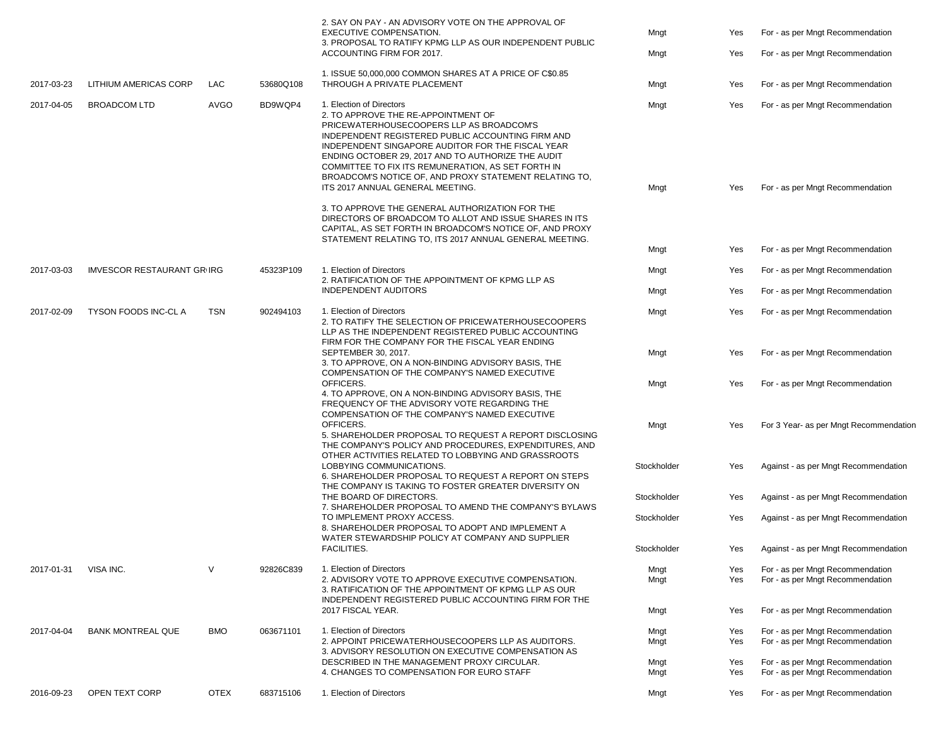|            |                                  |             |           | 2. SAY ON PAY - AN ADVISORY VOTE ON THE APPROVAL OF<br>EXECUTIVE COMPENSATION.<br>3. PROPOSAL TO RATIFY KPMG LLP AS OUR INDEPENDENT PUBLIC<br>ACCOUNTING FIRM FOR 2017.                                                                                     | Mngt<br>Mngt | Yes<br>Yes | For - as per Mngt Recommendation<br>For - as per Mngt Recommendation |
|------------|----------------------------------|-------------|-----------|-------------------------------------------------------------------------------------------------------------------------------------------------------------------------------------------------------------------------------------------------------------|--------------|------------|----------------------------------------------------------------------|
| 2017-03-23 | LITHIUM AMERICAS CORP            | LAC         | 53680Q108 | 1. ISSUE 50,000,000 COMMON SHARES AT A PRICE OF C\$0.85<br>THROUGH A PRIVATE PLACEMENT                                                                                                                                                                      | Mngt         | Yes        | For - as per Mngt Recommendation                                     |
| 2017-04-05 | <b>BROADCOM LTD</b>              | <b>AVGO</b> | BD9WQP4   | 1. Election of Directors<br>2. TO APPROVE THE RE-APPOINTMENT OF<br>PRICEWATERHOUSECOOPERS LLP AS BROADCOM'S<br>INDEPENDENT REGISTERED PUBLIC ACCOUNTING FIRM AND                                                                                            | Mngt         | Yes        | For - as per Mngt Recommendation                                     |
|            |                                  |             |           | INDEPENDENT SINGAPORE AUDITOR FOR THE FISCAL YEAR<br>ENDING OCTOBER 29, 2017 AND TO AUTHORIZE THE AUDIT<br>COMMITTEE TO FIX ITS REMUNERATION, AS SET FORTH IN<br>BROADCOM'S NOTICE OF, AND PROXY STATEMENT RELATING TO,<br>ITS 2017 ANNUAL GENERAL MEETING. | Mngt         | Yes        | For - as per Mngt Recommendation                                     |
|            |                                  |             |           | 3. TO APPROVE THE GENERAL AUTHORIZATION FOR THE<br>DIRECTORS OF BROADCOM TO ALLOT AND ISSUE SHARES IN ITS<br>CAPITAL, AS SET FORTH IN BROADCOM'S NOTICE OF, AND PROXY<br>STATEMENT RELATING TO, ITS 2017 ANNUAL GENERAL MEETING.                            |              |            |                                                                      |
|            |                                  |             |           |                                                                                                                                                                                                                                                             | Mngt         | Yes        | For - as per Mngt Recommendation                                     |
| 2017-03-03 | <b>IMVESCOR RESTAURANT GRIRG</b> |             | 45323P109 | 1. Election of Directors<br>2. RATIFICATION OF THE APPOINTMENT OF KPMG LLP AS                                                                                                                                                                               | Mngt         | Yes        | For - as per Mngt Recommendation                                     |
|            |                                  |             |           | <b>INDEPENDENT AUDITORS</b>                                                                                                                                                                                                                                 | Mngt         | Yes        | For - as per Mngt Recommendation                                     |
| 2017-02-09 | <b>TYSON FOODS INC-CLA</b>       | TSN         | 902494103 | 1. Election of Directors<br>2. TO RATIFY THE SELECTION OF PRICEWATERHOUSECOOPERS<br>LLP AS THE INDEPENDENT REGISTERED PUBLIC ACCOUNTING                                                                                                                     | Mngt         | Yes        | For - as per Mngt Recommendation                                     |
|            |                                  |             |           | FIRM FOR THE COMPANY FOR THE FISCAL YEAR ENDING<br>SEPTEMBER 30, 2017.<br>3. TO APPROVE, ON A NON-BINDING ADVISORY BASIS, THE                                                                                                                               | Mngt         | Yes        | For - as per Mngt Recommendation                                     |
|            |                                  |             |           | COMPENSATION OF THE COMPANY'S NAMED EXECUTIVE<br>OFFICERS.<br>4. TO APPROVE, ON A NON-BINDING ADVISORY BASIS, THE                                                                                                                                           | Mngt         | Yes        | For - as per Mngt Recommendation                                     |
|            |                                  |             |           | FREQUENCY OF THE ADVISORY VOTE REGARDING THE<br>COMPENSATION OF THE COMPANY'S NAMED EXECUTIVE<br>OFFICERS.<br>5. SHAREHOLDER PROPOSAL TO REQUEST A REPORT DISCLOSING<br>THE COMPANY'S POLICY AND PROCEDURES, EXPENDITURES, AND                              | Mngt         | Yes        | For 3 Year- as per Mngt Recommendation                               |
|            |                                  |             |           | OTHER ACTIVITIES RELATED TO LOBBYING AND GRASSROOTS<br>LOBBYING COMMUNICATIONS.<br>6. SHAREHOLDER PROPOSAL TO REQUEST A REPORT ON STEPS<br>THE COMPANY IS TAKING TO FOSTER GREATER DIVERSITY ON                                                             | Stockholder  | Yes        | Against - as per Mngt Recommendation                                 |
|            |                                  |             |           | THE BOARD OF DIRECTORS.                                                                                                                                                                                                                                     | Stockholder  | Yes        | Against - as per Mngt Recommendation                                 |
|            |                                  |             |           | 7. SHAREHOLDER PROPOSAL TO AMEND THE COMPANY'S BYLAWS<br>TO IMPLEMENT PROXY ACCESS.<br>8. SHAREHOLDER PROPOSAL TO ADOPT AND IMPLEMENT A                                                                                                                     | Stockholder  | Yes        | Against - as per Mngt Recommendation                                 |
|            |                                  |             |           | WATER STEWARDSHIP POLICY AT COMPANY AND SUPPLIER<br>FACILITIES.                                                                                                                                                                                             | Stockholder  | Yes        | Against - as per Mngt Recommendation                                 |
| 2017-01-31 | VISA INC.                        | $\vee$      | 92826C839 | 1. Election of Directors                                                                                                                                                                                                                                    | Mngt         | Yes        | For - as per Mngt Recommendation                                     |
|            |                                  |             |           | 2. ADVISORY VOTE TO APPROVE EXECUTIVE COMPENSATION.<br>3. RATIFICATION OF THE APPOINTMENT OF KPMG LLP AS OUR<br><b>INDEPENDENT REGISTERED PUBLIC ACCOUNTING FIRM FOR THE</b>                                                                                | Mngt         | Yes        | For - as per Mngt Recommendation                                     |
|            |                                  |             |           | 2017 FISCAL YEAR.                                                                                                                                                                                                                                           | Mngt         | Yes        | For - as per Mngt Recommendation                                     |
| 2017-04-04 | <b>BANK MONTREAL QUE</b>         | <b>BMO</b>  | 063671101 | 1. Election of Directors                                                                                                                                                                                                                                    | Mngt         | Yes        | For - as per Mngt Recommendation                                     |
|            |                                  |             |           | 2. APPOINT PRICEWATERHOUSECOOPERS LLP AS AUDITORS.<br>3. ADVISORY RESOLUTION ON EXECUTIVE COMPENSATION AS                                                                                                                                                   | Mngt         | Yes        | For - as per Mngt Recommendation                                     |
|            |                                  |             |           | DESCRIBED IN THE MANAGEMENT PROXY CIRCULAR.                                                                                                                                                                                                                 | Mngt         | Yes        | For - as per Mngt Recommendation                                     |
|            |                                  |             |           | 4. CHANGES TO COMPENSATION FOR EURO STAFF                                                                                                                                                                                                                   | Mngt         | Yes        | For - as per Mngt Recommendation                                     |
| 2016-09-23 | OPEN TEXT CORP                   | <b>OTEX</b> | 683715106 | 1. Election of Directors                                                                                                                                                                                                                                    | Mngt         | Yes        | For - as per Mngt Recommendation                                     |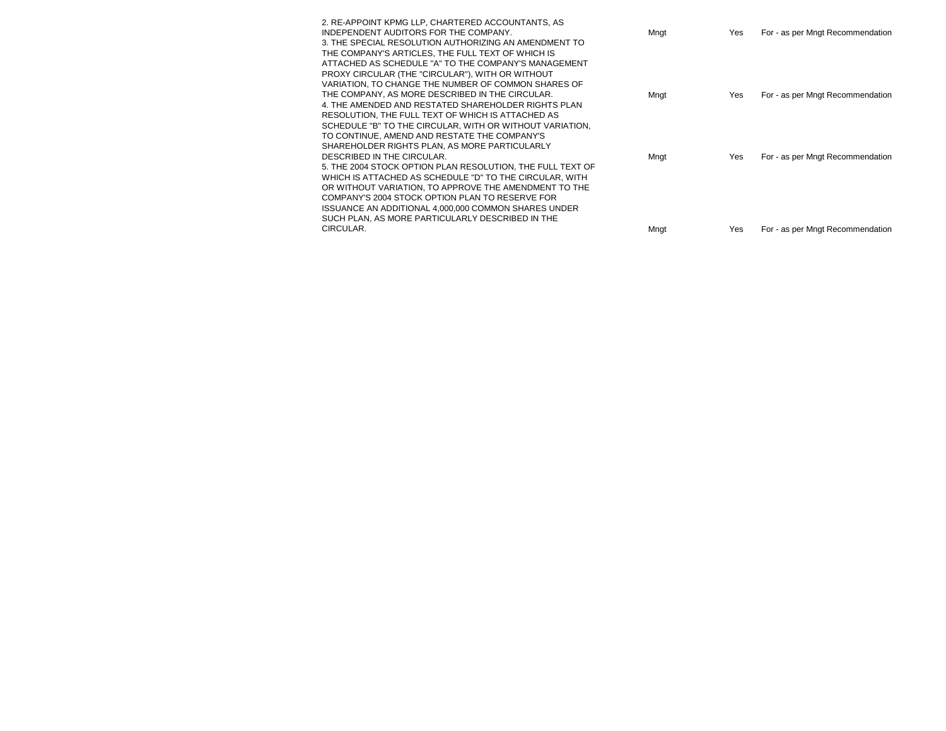| 2. RE-APPOINT KPMG LLP, CHARTERED ACCOUNTANTS, AS          |      |     |                                  |
|------------------------------------------------------------|------|-----|----------------------------------|
| INDEPENDENT AUDITORS FOR THE COMPANY.                      | Mngt | Yes | For - as per Mngt Recommendation |
| 3. THE SPECIAL RESOLUTION AUTHORIZING AN AMENDMENT TO      |      |     |                                  |
| THE COMPANY'S ARTICLES. THE FULL TEXT OF WHICH IS          |      |     |                                  |
| ATTACHED AS SCHEDULE "A" TO THE COMPANY'S MANAGEMENT       |      |     |                                  |
| PROXY CIRCULAR (THE "CIRCULAR"), WITH OR WITHOUT           |      |     |                                  |
| VARIATION, TO CHANGE THE NUMBER OF COMMON SHARES OF        |      |     |                                  |
| THE COMPANY, AS MORE DESCRIBED IN THE CIRCULAR.            | Mngt | Yes | For - as per Mngt Recommendation |
| 4. THE AMENDED AND RESTATED SHAREHOLDER RIGHTS PLAN        |      |     |                                  |
| RESOLUTION, THE FULL TEXT OF WHICH IS ATTACHED AS          |      |     |                                  |
| SCHEDULE "B" TO THE CIRCULAR, WITH OR WITHOUT VARIATION,   |      |     |                                  |
| TO CONTINUE. AMEND AND RESTATE THE COMPANY'S               |      |     |                                  |
| SHAREHOLDER RIGHTS PLAN, AS MORE PARTICULARLY              |      |     |                                  |
| DESCRIBED IN THE CIRCULAR.                                 | Mngt | Yes | For - as per Mngt Recommendation |
| 5. THE 2004 STOCK OPTION PLAN RESOLUTION, THE FULL TEXT OF |      |     |                                  |
| WHICH IS ATTACHED AS SCHEDULE "D" TO THE CIRCULAR, WITH    |      |     |                                  |
| OR WITHOUT VARIATION, TO APPROVE THE AMENDMENT TO THE      |      |     |                                  |
| COMPANY'S 2004 STOCK OPTION PLAN TO RESERVE FOR            |      |     |                                  |
| ISSUANCE AN ADDITIONAL 4,000,000 COMMON SHARES UNDER       |      |     |                                  |
| SUCH PLAN, AS MORE PARTICULARLY DESCRIBED IN THE           |      |     |                                  |
| CIRCULAR.                                                  | Mngt | Yes | For - as per Mngt Recommendation |
|                                                            |      |     |                                  |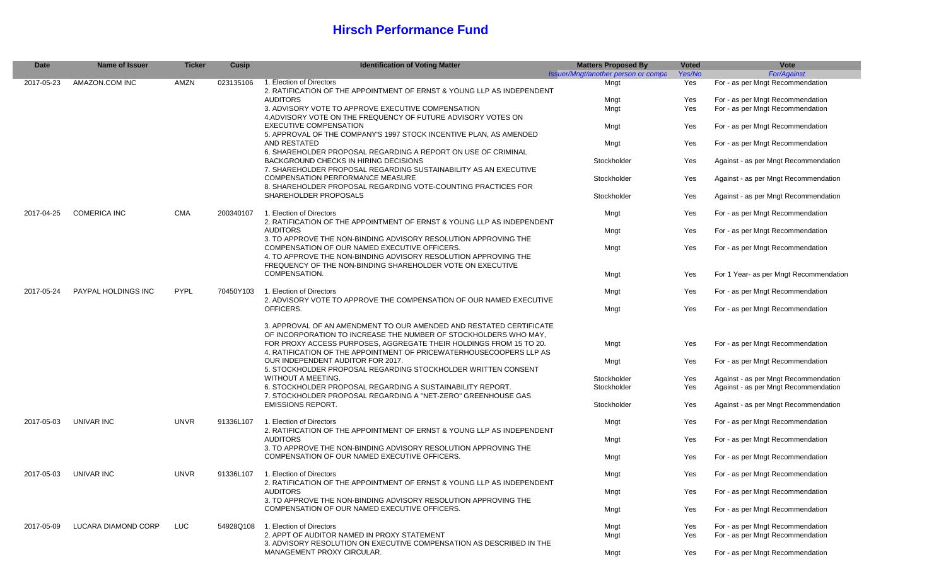#### **Hirsch Performance Fund**

| <b>Date</b> | Name of Issuer      | <b>Ticker</b> | Cusip     | <b>Identification of Voting Matter</b>                                                                                                                                                                                                                                               | <b>Matters Proposed By</b>          | <b>Voted</b> | Vote                                   |
|-------------|---------------------|---------------|-----------|--------------------------------------------------------------------------------------------------------------------------------------------------------------------------------------------------------------------------------------------------------------------------------------|-------------------------------------|--------------|----------------------------------------|
|             |                     |               |           |                                                                                                                                                                                                                                                                                      | Issuer/Mngt/another person or compa | Yes/No       | <b>For/Against</b>                     |
| 2017-05-23  | AMAZON.COM INC      | AMZN          | 023135106 | 1. Election of Directors<br>2. RATIFICATION OF THE APPOINTMENT OF ERNST & YOUNG LLP AS INDEPENDENT                                                                                                                                                                                   | Mngt                                | Yes          | For - as per Mngt Recommendation       |
|             |                     |               |           | <b>AUDITORS</b>                                                                                                                                                                                                                                                                      | Mngt                                | Yes          | For - as per Mngt Recommendation       |
|             |                     |               |           | 3. ADVISORY VOTE TO APPROVE EXECUTIVE COMPENSATION<br>4. ADVISORY VOTE ON THE FREQUENCY OF FUTURE ADVISORY VOTES ON                                                                                                                                                                  | Mngt                                | Yes          | For - as per Mngt Recommendation       |
|             |                     |               |           | <b>EXECUTIVE COMPENSATION</b><br>5. APPROVAL OF THE COMPANY'S 1997 STOCK INCENTIVE PLAN, AS AMENDED                                                                                                                                                                                  | Mngt                                | Yes          | For - as per Mngt Recommendation       |
|             |                     |               |           | AND RESTATED                                                                                                                                                                                                                                                                         | Mngt                                | Yes          | For - as per Mngt Recommendation       |
|             |                     |               |           | 6. SHAREHOLDER PROPOSAL REGARDING A REPORT ON USE OF CRIMINAL<br><b>BACKGROUND CHECKS IN HIRING DECISIONS</b><br>7. SHAREHOLDER PROPOSAL REGARDING SUSTAINABILITY AS AN EXECUTIVE                                                                                                    | Stockholder                         | Yes          | Against - as per Mngt Recommendation   |
|             |                     |               |           | <b>COMPENSATION PERFORMANCE MEASURE</b><br>8. SHAREHOLDER PROPOSAL REGARDING VOTE-COUNTING PRACTICES FOR                                                                                                                                                                             | Stockholder                         | Yes          | Against - as per Mngt Recommendation   |
|             |                     |               |           | SHAREHOLDER PROPOSALS                                                                                                                                                                                                                                                                | Stockholder                         | Yes          | Against - as per Mngt Recommendation   |
| 2017-04-25  | <b>COMERICA INC</b> | <b>CMA</b>    | 200340107 | 1. Election of Directors<br>2. RATIFICATION OF THE APPOINTMENT OF ERNST & YOUNG LLP AS INDEPENDENT                                                                                                                                                                                   | Mngt                                | Yes          | For - as per Mngt Recommendation       |
|             |                     |               |           | <b>AUDITORS</b>                                                                                                                                                                                                                                                                      | Mngt                                | Yes          | For - as per Mngt Recommendation       |
|             |                     |               |           | 3. TO APPROVE THE NON-BINDING ADVISORY RESOLUTION APPROVING THE<br>COMPENSATION OF OUR NAMED EXECUTIVE OFFICERS.<br>4. TO APPROVE THE NON-BINDING ADVISORY RESOLUTION APPROVING THE<br>FREQUENCY OF THE NON-BINDING SHAREHOLDER VOTE ON EXECUTIVE<br>COMPENSATION.                   | Mngt                                | Yes          | For - as per Mngt Recommendation       |
|             |                     |               |           |                                                                                                                                                                                                                                                                                      | Mngt                                | Yes          | For 1 Year- as per Mngt Recommendation |
| 2017-05-24  | PAYPAL HOLDINGS INC | <b>PYPL</b>   | 70450Y103 | 1. Election of Directors<br>2. ADVISORY VOTE TO APPROVE THE COMPENSATION OF OUR NAMED EXECUTIVE                                                                                                                                                                                      | Mngt                                | Yes          | For - as per Mngt Recommendation       |
|             |                     |               |           | OFFICERS.                                                                                                                                                                                                                                                                            | Mngt                                | Yes          | For - as per Mngt Recommendation       |
|             |                     |               |           | 3. APPROVAL OF AN AMENDMENT TO OUR AMENDED AND RESTATED CERTIFICATE<br>OF INCORPORATION TO INCREASE THE NUMBER OF STOCKHOLDERS WHO MAY.<br>FOR PROXY ACCESS PURPOSES, AGGREGATE THEIR HOLDINGS FROM 15 TO 20.<br>4. RATIFICATION OF THE APPOINTMENT OF PRICEWATERHOUSECOOPERS LLP AS | Mngt                                | Yes          | For - as per Mngt Recommendation       |
|             |                     |               |           | OUR INDEPENDENT AUDITOR FOR 2017.<br>5. STOCKHOLDER PROPOSAL REGARDING STOCKHOLDER WRITTEN CONSENT                                                                                                                                                                                   | Mngt                                | Yes          | For - as per Mngt Recommendation       |
|             |                     |               |           | WITHOUT A MEETING.                                                                                                                                                                                                                                                                   | Stockholder                         | Yes          | Against - as per Mngt Recommendation   |
|             |                     |               |           | 6. STOCKHOLDER PROPOSAL REGARDING A SUSTAINABILITY REPORT.<br>7. STOCKHOLDER PROPOSAL REGARDING A "NET-ZERO" GREENHOUSE GAS                                                                                                                                                          | Stockholder                         | Yes          | Against - as per Mngt Recommendation   |
|             |                     |               |           | <b>EMISSIONS REPORT.</b>                                                                                                                                                                                                                                                             | Stockholder                         | Yes          | Against - as per Mngt Recommendation   |
| 2017-05-03  | UNIVAR INC          | <b>UNVR</b>   | 91336L107 | 1. Election of Directors                                                                                                                                                                                                                                                             | Mngt                                | Yes          | For - as per Mngt Recommendation       |
|             |                     |               |           | 2. RATIFICATION OF THE APPOINTMENT OF ERNST & YOUNG LLP AS INDEPENDENT<br><b>AUDITORS</b>                                                                                                                                                                                            | Mngt                                | Yes          | For - as per Mngt Recommendation       |
|             |                     |               |           | 3. TO APPROVE THE NON-BINDING ADVISORY RESOLUTION APPROVING THE<br>COMPENSATION OF OUR NAMED EXECUTIVE OFFICERS.                                                                                                                                                                     | Mngt                                | Yes          | For - as per Mngt Recommendation       |
| 2017-05-03  | UNIVAR INC          | <b>UNVR</b>   | 91336L107 | 1. Election of Directors<br>2. RATIFICATION OF THE APPOINTMENT OF ERNST & YOUNG LLP AS INDEPENDENT                                                                                                                                                                                   | Mngt                                | Yes          | For - as per Mngt Recommendation       |
|             |                     |               |           | <b>AUDITORS</b><br>3. TO APPROVE THE NON-BINDING ADVISORY RESOLUTION APPROVING THE                                                                                                                                                                                                   | Mngt                                | Yes          | For - as per Mngt Recommendation       |
|             |                     |               |           | COMPENSATION OF OUR NAMED EXECUTIVE OFFICERS.                                                                                                                                                                                                                                        | Mngt                                | Yes          | For - as per Mngt Recommendation       |
| 2017-05-09  | LUCARA DIAMOND CORP | LUC.          |           | 54928Q108 1. Election of Directors                                                                                                                                                                                                                                                   | Mngt                                | Yes          | For - as per Mngt Recommendation       |
|             |                     |               |           | 2. APPT OF AUDITOR NAMED IN PROXY STATEMENT                                                                                                                                                                                                                                          | Mngt                                | Yes          | For - as per Mngt Recommendation       |
|             |                     |               |           | 3. ADVISORY RESOLUTION ON EXECUTIVE COMPENSATION AS DESCRIBED IN THE                                                                                                                                                                                                                 |                                     |              |                                        |
|             |                     |               |           | MANAGEMENT PROXY CIRCULAR.                                                                                                                                                                                                                                                           | Mngt                                | Yes          | For - as per Mngt Recommendation       |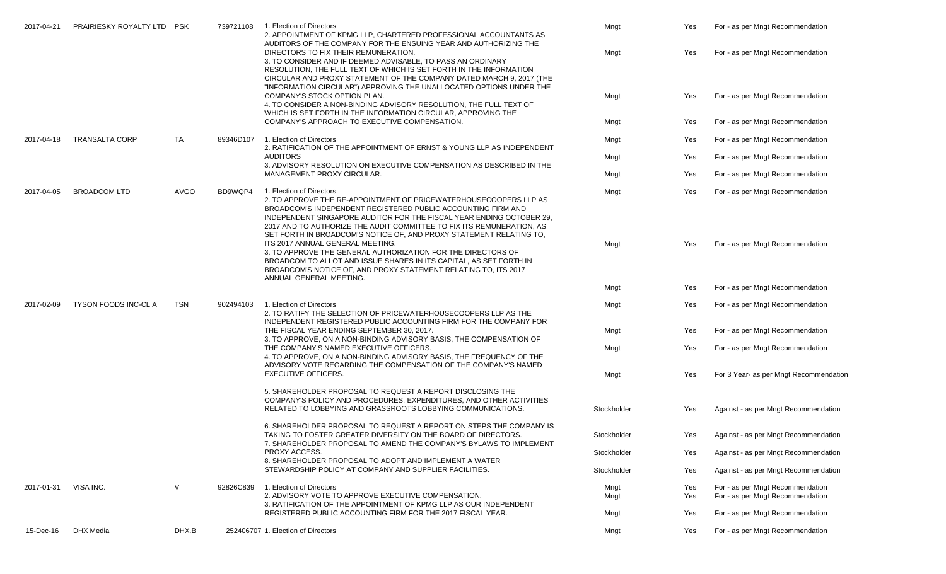| 2017-04-21 | PRAIRIESKY ROYALTY LTD PSK |             | 739721108 | 1. Election of Directors<br>2. APPOINTMENT OF KPMG LLP. CHARTERED PROFESSIONAL ACCOUNTANTS AS<br>AUDITORS OF THE COMPANY FOR THE ENSUING YEAR AND AUTHORIZING THE                                                                                                                                                                                                                                                                                                                            | Mngt         | Yes        | For - as per Mngt Recommendation                                     |
|------------|----------------------------|-------------|-----------|----------------------------------------------------------------------------------------------------------------------------------------------------------------------------------------------------------------------------------------------------------------------------------------------------------------------------------------------------------------------------------------------------------------------------------------------------------------------------------------------|--------------|------------|----------------------------------------------------------------------|
|            |                            |             |           | DIRECTORS TO FIX THEIR REMUNERATION.<br>3. TO CONSIDER AND IF DEEMED ADVISABLE, TO PASS AN ORDINARY<br>RESOLUTION, THE FULL TEXT OF WHICH IS SET FORTH IN THE INFORMATION<br>CIRCULAR AND PROXY STATEMENT OF THE COMPANY DATED MARCH 9, 2017 (THE                                                                                                                                                                                                                                            | Mngt         | Yes        | For - as per Mngt Recommendation                                     |
|            |                            |             |           | "INFORMATION CIRCULAR") APPROVING THE UNALLOCATED OPTIONS UNDER THE<br>COMPANY'S STOCK OPTION PLAN.<br>4. TO CONSIDER A NON-BINDING ADVISORY RESOLUTION, THE FULL TEXT OF<br>WHICH IS SET FORTH IN THE INFORMATION CIRCULAR, APPROVING THE                                                                                                                                                                                                                                                   | Mngt         | Yes        | For - as per Mngt Recommendation                                     |
|            |                            |             |           | COMPANY'S APPROACH TO EXECUTIVE COMPENSATION.                                                                                                                                                                                                                                                                                                                                                                                                                                                | Mngt         | Yes        | For - as per Mngt Recommendation                                     |
| 2017-04-18 | <b>TRANSALTA CORP</b>      | TA          | 89346D107 | 1. Election of Directors<br>2. RATIFICATION OF THE APPOINTMENT OF ERNST & YOUNG LLP AS INDEPENDENT                                                                                                                                                                                                                                                                                                                                                                                           | Mngt         | Yes        | For - as per Mngt Recommendation                                     |
|            |                            |             |           | <b>AUDITORS</b><br>3. ADVISORY RESOLUTION ON EXECUTIVE COMPENSATION AS DESCRIBED IN THE                                                                                                                                                                                                                                                                                                                                                                                                      | Mngt         | Yes        | For - as per Mngt Recommendation                                     |
|            |                            |             |           | MANAGEMENT PROXY CIRCULAR.                                                                                                                                                                                                                                                                                                                                                                                                                                                                   | Mngt         | Yes        | For - as per Mngt Recommendation                                     |
| 2017-04-05 | <b>BROADCOM LTD</b>        | <b>AVGO</b> | BD9WQP4   | 1. Election of Directors<br>2. TO APPROVE THE RE-APPOINTMENT OF PRICEWATERHOUSECOOPERS LLP AS<br>BROADCOM'S INDEPENDENT REGISTERED PUBLIC ACCOUNTING FIRM AND                                                                                                                                                                                                                                                                                                                                | Mngt         | Yes        | For - as per Mngt Recommendation                                     |
|            |                            |             |           | INDEPENDENT SINGAPORE AUDITOR FOR THE FISCAL YEAR ENDING OCTOBER 29.<br>2017 AND TO AUTHORIZE THE AUDIT COMMITTEE TO FIX ITS REMUNERATION. AS<br>SET FORTH IN BROADCOM'S NOTICE OF, AND PROXY STATEMENT RELATING TO,<br>ITS 2017 ANNUAL GENERAL MEETING.<br>3. TO APPROVE THE GENERAL AUTHORIZATION FOR THE DIRECTORS OF<br>BROADCOM TO ALLOT AND ISSUE SHARES IN ITS CAPITAL, AS SET FORTH IN<br>BROADCOM'S NOTICE OF, AND PROXY STATEMENT RELATING TO, ITS 2017<br>ANNUAL GENERAL MEETING. | Mngt         | Yes        | For - as per Mngt Recommendation                                     |
|            |                            |             |           |                                                                                                                                                                                                                                                                                                                                                                                                                                                                                              | Mngt         | Yes        | For - as per Mngt Recommendation                                     |
| 2017-02-09 | TYSON FOODS INC-CL A       | <b>TSN</b>  | 902494103 | 1. Election of Directors<br>2. TO RATIFY THE SELECTION OF PRICEWATERHOUSECOOPERS LLP AS THE                                                                                                                                                                                                                                                                                                                                                                                                  | Mngt         | Yes        | For - as per Mngt Recommendation                                     |
|            |                            |             |           | INDEPENDENT REGISTERED PUBLIC ACCOUNTING FIRM FOR THE COMPANY FOR<br>THE FISCAL YEAR ENDING SEPTEMBER 30, 2017.<br>3. TO APPROVE, ON A NON-BINDING ADVISORY BASIS, THE COMPENSATION OF                                                                                                                                                                                                                                                                                                       | Mngt         | Yes        | For - as per Mngt Recommendation                                     |
|            |                            |             |           | THE COMPANY'S NAMED EXECUTIVE OFFICERS.<br>4. TO APPROVE, ON A NON-BINDING ADVISORY BASIS, THE FREQUENCY OF THE                                                                                                                                                                                                                                                                                                                                                                              | Mngt         | Yes        | For - as per Mngt Recommendation                                     |
|            |                            |             |           | ADVISORY VOTE REGARDING THE COMPENSATION OF THE COMPANY'S NAMED<br><b>EXECUTIVE OFFICERS.</b>                                                                                                                                                                                                                                                                                                                                                                                                | Mngt         | Yes        | For 3 Year- as per Mngt Recommendation                               |
|            |                            |             |           | 5. SHAREHOLDER PROPOSAL TO REQUEST A REPORT DISCLOSING THE<br>COMPANY'S POLICY AND PROCEDURES, EXPENDITURES, AND OTHER ACTIVITIES<br>RELATED TO LOBBYING AND GRASSROOTS LOBBYING COMMUNICATIONS.                                                                                                                                                                                                                                                                                             | Stockholder  | Yes        | Against - as per Mngt Recommendation                                 |
|            |                            |             |           | 6. SHAREHOLDER PROPOSAL TO REQUEST A REPORT ON STEPS THE COMPANY IS<br>TAKING TO FOSTER GREATER DIVERSITY ON THE BOARD OF DIRECTORS.<br>7. SHAREHOLDER PROPOSAL TO AMEND THE COMPANY'S BYLAWS TO IMPLEMENT                                                                                                                                                                                                                                                                                   | Stockholder  | Yes        | Against - as per Mngt Recommendation                                 |
|            |                            |             |           | PROXY ACCESS.<br>8. SHAREHOLDER PROPOSAL TO ADOPT AND IMPLEMENT A WATER                                                                                                                                                                                                                                                                                                                                                                                                                      | Stockholder  | Yes        | Against - as per Mngt Recommendation                                 |
|            |                            |             |           | STEWARDSHIP POLICY AT COMPANY AND SUPPLIER FACILITIES.                                                                                                                                                                                                                                                                                                                                                                                                                                       | Stockholder  | Yes        | Against - as per Mngt Recommendation                                 |
| 2017-01-31 | VISA INC.                  | $\vee$      | 92826C839 | 1. Election of Directors<br>2. ADVISORY VOTE TO APPROVE EXECUTIVE COMPENSATION.                                                                                                                                                                                                                                                                                                                                                                                                              | Mngt<br>Mngt | Yes<br>Yes | For - as per Mngt Recommendation<br>For - as per Mngt Recommendation |
|            |                            |             |           | 3. RATIFICATION OF THE APPOINTMENT OF KPMG LLP AS OUR INDEPENDENT<br>REGISTERED PUBLIC ACCOUNTING FIRM FOR THE 2017 FISCAL YEAR.                                                                                                                                                                                                                                                                                                                                                             | Mngt         | Yes        | For - as per Mngt Recommendation                                     |
| 15-Dec-16  | DHX Media                  | DHX.B       |           | 252406707 1. Election of Directors                                                                                                                                                                                                                                                                                                                                                                                                                                                           | Mngt         | Yes        | For - as per Mngt Recommendation                                     |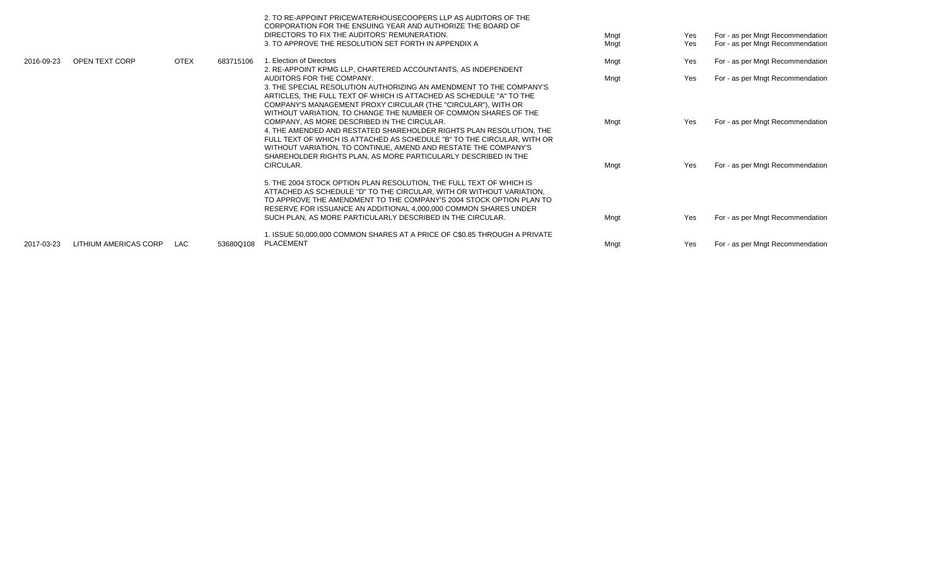|            |                       |             |           | 2. TO RE-APPOINT PRICEWATERHOUSECOOPERS LLP AS AUDITORS OF THE<br>CORPORATION FOR THE ENSUING YEAR AND AUTHORIZE THE BOARD OF<br>DIRECTORS TO FIX THE AUDITORS' REMUNERATION.<br>3. TO APPROVE THE RESOLUTION SET FORTH IN APPENDIX A                                                                                              | Mngt<br>Mngt | Yes<br>Yes | For - as per Mngt Recommendation<br>For - as per Mngt Recommendation |
|------------|-----------------------|-------------|-----------|------------------------------------------------------------------------------------------------------------------------------------------------------------------------------------------------------------------------------------------------------------------------------------------------------------------------------------|--------------|------------|----------------------------------------------------------------------|
| 2016-09-23 | OPEN TEXT CORP        | <b>OTEX</b> | 683715106 | 1. Election of Directors<br>2. RE-APPOINT KPMG LLP, CHARTERED ACCOUNTANTS, AS INDEPENDENT                                                                                                                                                                                                                                          | Mngt         | Yes        | For - as per Mngt Recommendation                                     |
|            |                       |             |           | AUDITORS FOR THE COMPANY.<br>3. THE SPECIAL RESOLUTION AUTHORIZING AN AMENDMENT TO THE COMPANY'S<br>ARTICLES, THE FULL TEXT OF WHICH IS ATTACHED AS SCHEDULE "A" TO THE<br>COMPANY'S MANAGEMENT PROXY CIRCULAR (THE "CIRCULAR"), WITH OR<br>WITHOUT VARIATION, TO CHANGE THE NUMBER OF COMMON SHARES OF THE                        | Mngt         | Yes        | For - as per Mngt Recommendation                                     |
|            |                       |             |           | COMPANY, AS MORE DESCRIBED IN THE CIRCULAR.<br>4. THE AMENDED AND RESTATED SHAREHOLDER RIGHTS PLAN RESOLUTION. THE<br>FULL TEXT OF WHICH IS ATTACHED AS SCHEDULE "B" TO THE CIRCULAR, WITH OR<br>WITHOUT VARIATION, TO CONTINUE, AMEND AND RESTATE THE COMPANY'S<br>SHAREHOLDER RIGHTS PLAN, AS MORE PARTICULARLY DESCRIBED IN THE | Mngt         | Yes        | For - as per Mngt Recommendation                                     |
|            |                       |             |           | CIRCULAR.<br>5. THE 2004 STOCK OPTION PLAN RESOLUTION, THE FULL TEXT OF WHICH IS<br>ATTACHED AS SCHEDULE "D" TO THE CIRCULAR, WITH OR WITHOUT VARIATION,<br>TO APPROVE THE AMENDMENT TO THE COMPANY'S 2004 STOCK OPTION PLAN TO<br>RESERVE FOR ISSUANCE AN ADDITIONAL 4,000,000 COMMON SHARES UNDER                                | Mngt         | Yes        | For - as per Mngt Recommendation                                     |
|            |                       |             |           | SUCH PLAN, AS MORE PARTICULARLY DESCRIBED IN THE CIRCULAR.                                                                                                                                                                                                                                                                         | Mngt         | Yes        | For - as per Mngt Recommendation                                     |
| 2017-03-23 | LITHIUM AMERICAS CORP | <b>LAC</b>  | 53680Q108 | 1. ISSUE 50,000,000 COMMON SHARES AT A PRICE OF C\$0.85 THROUGH A PRIVATE<br>PLACEMENT                                                                                                                                                                                                                                             | Mngt         | Yes        | For - as per Mngt Recommendation                                     |
|            |                       |             |           |                                                                                                                                                                                                                                                                                                                                    |              |            |                                                                      |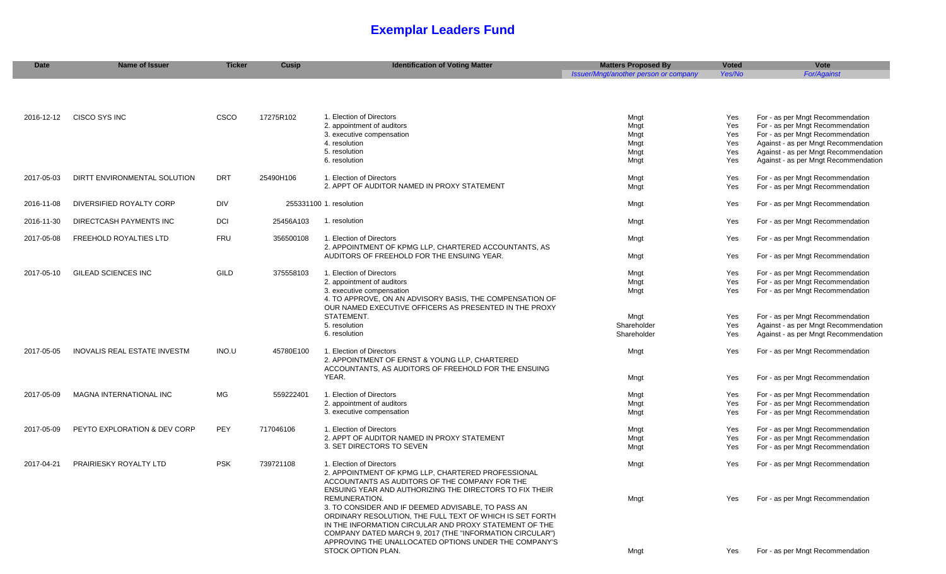# **Exemplar Leaders Fund**

| <b>Date</b> | <b>Name of Issuer</b>          | <b>Ticker</b> | <b>Cusip</b> | <b>Identification of Voting Matter</b>                                                                                                                                                                                                                                                                                               | <b>Matters Proposed By</b>            | <b>Voted</b> | Vote                                                                 |
|-------------|--------------------------------|---------------|--------------|--------------------------------------------------------------------------------------------------------------------------------------------------------------------------------------------------------------------------------------------------------------------------------------------------------------------------------------|---------------------------------------|--------------|----------------------------------------------------------------------|
|             |                                |               |              |                                                                                                                                                                                                                                                                                                                                      | Issuer/Mngt/another person or company | Yes/No       | <b>For/Against</b>                                                   |
|             |                                |               |              |                                                                                                                                                                                                                                                                                                                                      |                                       |              |                                                                      |
| 2016-12-12  | CISCO SYS INC                  | CSCO          | 17275R102    | 1. Election of Directors                                                                                                                                                                                                                                                                                                             | Mngt                                  | Yes          | For - as per Mngt Recommendation                                     |
|             |                                |               |              | 2. appointment of auditors                                                                                                                                                                                                                                                                                                           | Mngt                                  | Yes          | For - as per Mngt Recommendation                                     |
|             |                                |               |              | 3. executive compensation                                                                                                                                                                                                                                                                                                            | Mngt                                  | Yes          | For - as per Mngt Recommendation                                     |
|             |                                |               |              | 4. resolution                                                                                                                                                                                                                                                                                                                        | Mngt                                  | Yes          | Against - as per Mngt Recommendation                                 |
|             |                                |               |              | 5. resolution                                                                                                                                                                                                                                                                                                                        | Mngt                                  | Yes          | Against - as per Mngt Recommendation                                 |
|             |                                |               |              | 6. resolution                                                                                                                                                                                                                                                                                                                        | Mngt                                  | Yes          | Against - as per Mngt Recommendation                                 |
| 2017-05-03  | DIRTT ENVIRONMENTAL SOLUTION   | <b>DRT</b>    | 25490H106    | 1. Election of Directors                                                                                                                                                                                                                                                                                                             | Mngt                                  | Yes          | For - as per Mngt Recommendation                                     |
|             |                                |               |              | 2. APPT OF AUDITOR NAMED IN PROXY STATEMENT                                                                                                                                                                                                                                                                                          | Mngt                                  | Yes          | For - as per Mngt Recommendation                                     |
| 2016-11-08  | DIVERSIFIED ROYALTY CORP       | DIV           |              | 255331100 1. resolution                                                                                                                                                                                                                                                                                                              | Mngt                                  | Yes          | For - as per Mngt Recommendation                                     |
| 2016-11-30  | DIRECTCASH PAYMENTS INC        | DCI           | 25456A103    | 1. resolution                                                                                                                                                                                                                                                                                                                        | Mngt                                  | Yes          | For - as per Mngt Recommendation                                     |
| 2017-05-08  | <b>FREEHOLD ROYALTIES LTD</b>  | <b>FRU</b>    | 356500108    | 1. Election of Directors                                                                                                                                                                                                                                                                                                             | Mngt                                  | Yes          | For - as per Mngt Recommendation                                     |
|             |                                |               |              | 2. APPOINTMENT OF KPMG LLP, CHARTERED ACCOUNTANTS, AS<br>AUDITORS OF FREEHOLD FOR THE ENSUING YEAR.                                                                                                                                                                                                                                  | Mngt                                  | Yes          | For - as per Mngt Recommendation                                     |
| 2017-05-10  | GILEAD SCIENCES INC            | GILD          | 375558103    | 1. Election of Directors                                                                                                                                                                                                                                                                                                             | Mngt                                  | Yes          | For - as per Mngt Recommendation                                     |
|             |                                |               |              | 2. appointment of auditors                                                                                                                                                                                                                                                                                                           | Mngt                                  | Yes          | For - as per Mngt Recommendation                                     |
|             |                                |               |              | 3. executive compensation<br>4. TO APPROVE, ON AN ADVISORY BASIS, THE COMPENSATION OF<br>OUR NAMED EXECUTIVE OFFICERS AS PRESENTED IN THE PROXY                                                                                                                                                                                      | Mngt                                  | Yes          | For - as per Mngt Recommendation                                     |
|             |                                |               |              | STATEMENT.                                                                                                                                                                                                                                                                                                                           | Mngt                                  | Yes          | For - as per Mngt Recommendation                                     |
|             |                                |               |              | 5. resolution                                                                                                                                                                                                                                                                                                                        | Shareholder                           | Yes          | Against - as per Mngt Recommendation                                 |
|             |                                |               |              | 6. resolution                                                                                                                                                                                                                                                                                                                        | Shareholder                           | Yes          | Against - as per Mngt Recommendation                                 |
| 2017-05-05  | INOVALIS REAL ESTATE INVESTM   | INO.U         | 45780E100    | 1. Election of Directors<br>2. APPOINTMENT OF ERNST & YOUNG LLP, CHARTERED<br>ACCOUNTANTS, AS AUDITORS OF FREEHOLD FOR THE ENSUING                                                                                                                                                                                                   | Mngt                                  | Yes          | For - as per Mngt Recommendation                                     |
|             |                                |               |              | YEAR.                                                                                                                                                                                                                                                                                                                                | Mngt                                  | Yes          | For - as per Mngt Recommendation                                     |
| 2017-05-09  | <b>MAGNA INTERNATIONAL INC</b> | MG            | 559222401    | 1. Election of Directors                                                                                                                                                                                                                                                                                                             | Mngt                                  | Yes          | For - as per Mngt Recommendation                                     |
|             |                                |               |              | 2. appointment of auditors                                                                                                                                                                                                                                                                                                           | Mngt                                  | Yes          | For - as per Mngt Recommendation                                     |
|             |                                |               |              | 3. executive compensation                                                                                                                                                                                                                                                                                                            | Mngt                                  | Yes          | For - as per Mngt Recommendation                                     |
| 2017-05-09  | PEYTO EXPLORATION & DEV CORP   | PEY           | 717046106    | 1. Election of Directors                                                                                                                                                                                                                                                                                                             | Mngt                                  | Yes          | For - as per Mngt Recommendation                                     |
|             |                                |               |              | 2. APPT OF AUDITOR NAMED IN PROXY STATEMENT                                                                                                                                                                                                                                                                                          | Mngt                                  | Yes          | For - as per Mngt Recommendation                                     |
|             |                                |               |              | 3. SET DIRECTORS TO SEVEN                                                                                                                                                                                                                                                                                                            | Mngt                                  | Yes          | For - as per Mngt Recommendation                                     |
| 2017-04-21  | PRAIRIESKY ROYALTY LTD         | <b>PSK</b>    | 739721108    | 1. Election of Directors<br>2. APPOINTMENT OF KPMG LLP. CHARTERED PROFESSIONAL<br>ACCOUNTANTS AS AUDITORS OF THE COMPANY FOR THE<br>ENSUING YEAR AND AUTHORIZING THE DIRECTORS TO FIX THEIR                                                                                                                                          | Mngt                                  | Yes          | For - as per Mngt Recommendation                                     |
|             |                                |               |              | REMUNERATION.<br>3. TO CONSIDER AND IF DEEMED ADVISABLE, TO PASS AN<br>ORDINARY RESOLUTION, THE FULL TEXT OF WHICH IS SET FORTH<br>IN THE INFORMATION CIRCULAR AND PROXY STATEMENT OF THE<br>COMPANY DATED MARCH 9, 2017 (THE "INFORMATION CIRCULAR")<br>APPROVING THE UNALLOCATED OPTIONS UNDER THE COMPANY'S<br>STOCK OPTION PLAN. | Mngt                                  | Yes          | For - as per Mngt Recommendation<br>For - as per Mngt Recommendation |
|             |                                |               |              |                                                                                                                                                                                                                                                                                                                                      | Mngt                                  | Yes          |                                                                      |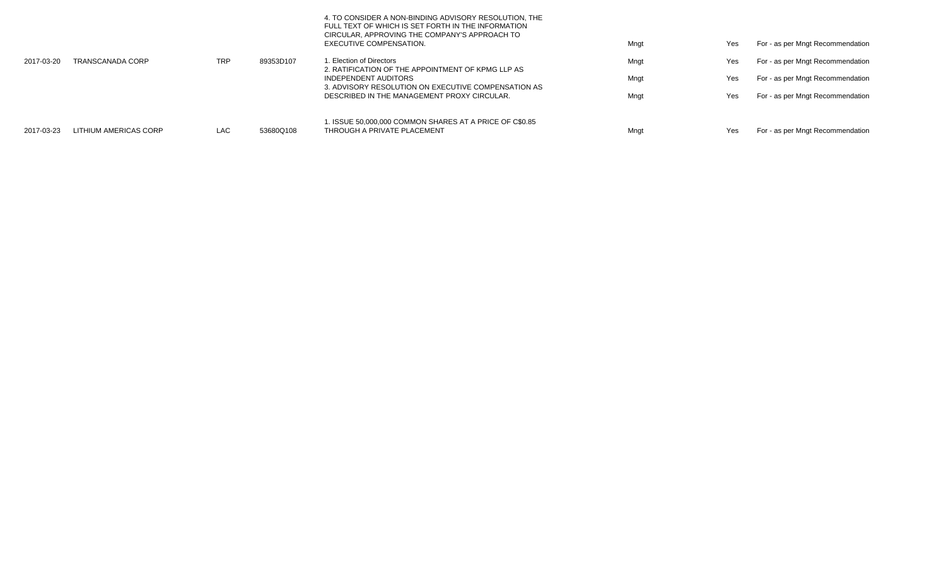|            |                         |            |           | 4. TO CONSIDER A NON-BINDING ADVISORY RESOLUTION, THE<br>FULL TEXT OF WHICH IS SET FORTH IN THE INFORMATION<br>CIRCULAR, APPROVING THE COMPANY'S APPROACH TO<br>EXECUTIVE COMPENSATION. | Mngt | Yes | For - as per Mngt Recommendation |
|------------|-------------------------|------------|-----------|-----------------------------------------------------------------------------------------------------------------------------------------------------------------------------------------|------|-----|----------------------------------|
| 2017-03-20 | <b>TRANSCANADA CORP</b> | <b>TRP</b> | 89353D107 | . Election of Directors<br>2. RATIFICATION OF THE APPOINTMENT OF KPMG LLP AS                                                                                                            | Mngt | Yes | For - as per Mngt Recommendation |
|            |                         |            |           | INDEPENDENT AUDITORS<br>3. ADVISORY RESOLUTION ON EXECUTIVE COMPENSATION AS                                                                                                             | Mngt | Yes | For - as per Mngt Recommendation |
|            |                         |            |           | DESCRIBED IN THE MANAGEMENT PROXY CIRCULAR.                                                                                                                                             | Mngt | Yes | For - as per Mngt Recommendation |
| 2017-03-23 | LITHIUM AMERICAS CORP   | <b>LAC</b> | 53680Q108 | 1. ISSUE 50,000,000 COMMON SHARES AT A PRICE OF C\$0.85<br>THROUGH A PRIVATE PLACEMENT                                                                                                  | Mngt | Yes | For - as per Mngt Recommendation |